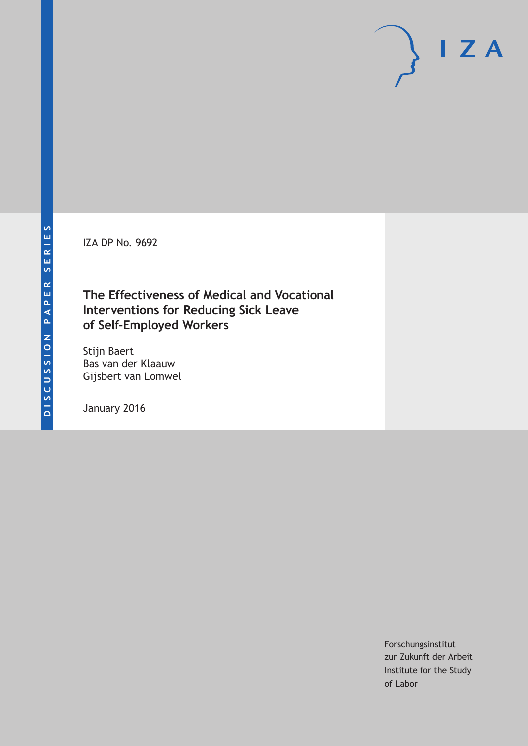IZA DP No. 9692

# **The Effectiveness of Medical and Vocational Interventions for Reducing Sick Leave of Self-Employed Workers**

Stijn Baert Bas van der Klaauw Gijsbert van Lomwel

January 2016

Forschungsinstitut zur Zukunft der Arbeit Institute for the Study of Labor

 $I Z A$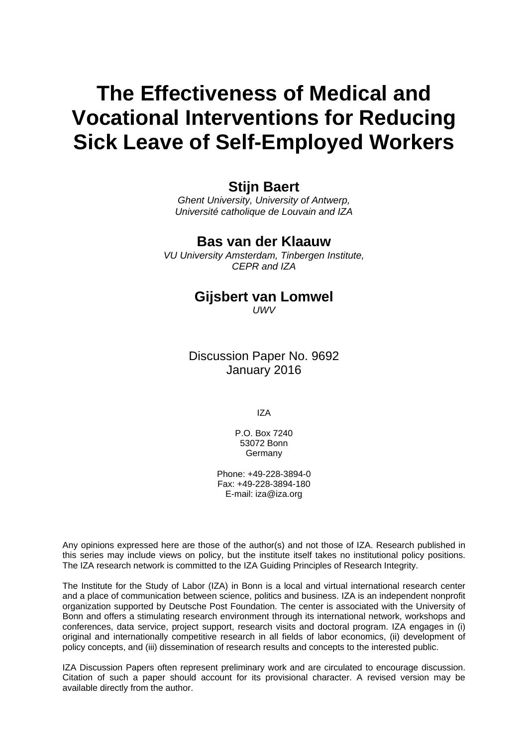# **The Effectiveness of Medical and Vocational Interventions for Reducing Sick Leave of Self-Employed Workers**

# **Stijn Baert**

*Ghent University, University of Antwerp, Université catholique de Louvain and IZA* 

# **Bas van der Klaauw**

*VU University Amsterdam, Tinbergen Institute, CEPR and IZA* 

### **Gijsbert van Lomwel**  *UWV*

Discussion Paper No. 9692 January 2016

IZA

P.O. Box 7240 53072 Bonn **Germany** 

Phone: +49-228-3894-0 Fax: +49-228-3894-180 E-mail: iza@iza.org

Any opinions expressed here are those of the author(s) and not those of IZA. Research published in this series may include views on policy, but the institute itself takes no institutional policy positions. The IZA research network is committed to the IZA Guiding Principles of Research Integrity.

The Institute for the Study of Labor (IZA) in Bonn is a local and virtual international research center and a place of communication between science, politics and business. IZA is an independent nonprofit organization supported by Deutsche Post Foundation. The center is associated with the University of Bonn and offers a stimulating research environment through its international network, workshops and conferences, data service, project support, research visits and doctoral program. IZA engages in (i) original and internationally competitive research in all fields of labor economics, (ii) development of policy concepts, and (iii) dissemination of research results and concepts to the interested public.

IZA Discussion Papers often represent preliminary work and are circulated to encourage discussion. Citation of such a paper should account for its provisional character. A revised version may be available directly from the author.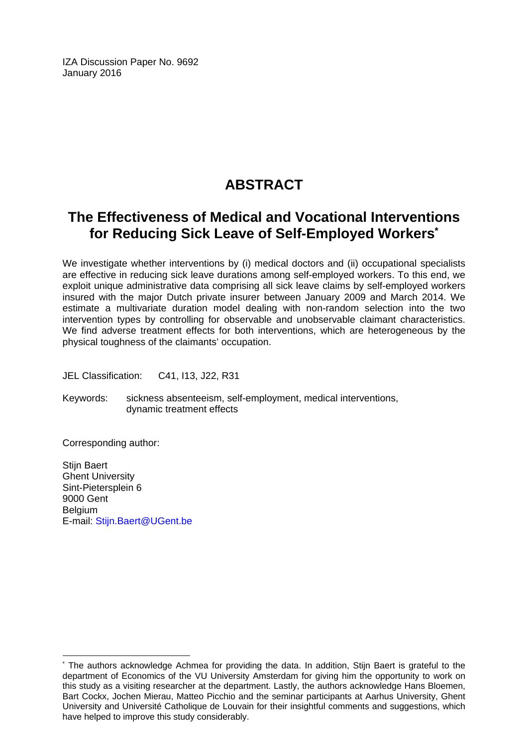IZA Discussion Paper No. 9692 January 2016

# **ABSTRACT**

# **The Effectiveness of Medical and Vocational Interventions for Reducing Sick Leave of Self-Employed Workers\***

We investigate whether interventions by (i) medical doctors and (ii) occupational specialists are effective in reducing sick leave durations among self-employed workers. To this end, we exploit unique administrative data comprising all sick leave claims by self-employed workers insured with the major Dutch private insurer between January 2009 and March 2014. We estimate a multivariate duration model dealing with non-random selection into the two intervention types by controlling for observable and unobservable claimant characteristics. We find adverse treatment effects for both interventions, which are heterogeneous by the physical toughness of the claimants' occupation.

JEL Classification: C41, I13, J22, R31

Keywords: sickness absenteeism, self-employment, medical interventions, dynamic treatment effects

Corresponding author:

 $\overline{\phantom{a}}$ 

Stiin Baert Ghent University Sint-Pietersplein 6 9000 Gent **Belgium** E-mail: Stijn.Baert@UGent.be

<sup>\*</sup> The authors acknowledge Achmea for providing the data. In addition, Stijn Baert is grateful to the department of Economics of the VU University Amsterdam for giving him the opportunity to work on this study as a visiting researcher at the department. Lastly, the authors acknowledge Hans Bloemen, Bart Cockx, Jochen Mierau, Matteo Picchio and the seminar participants at Aarhus University, Ghent University and Université Catholique de Louvain for their insightful comments and suggestions, which have helped to improve this study considerably.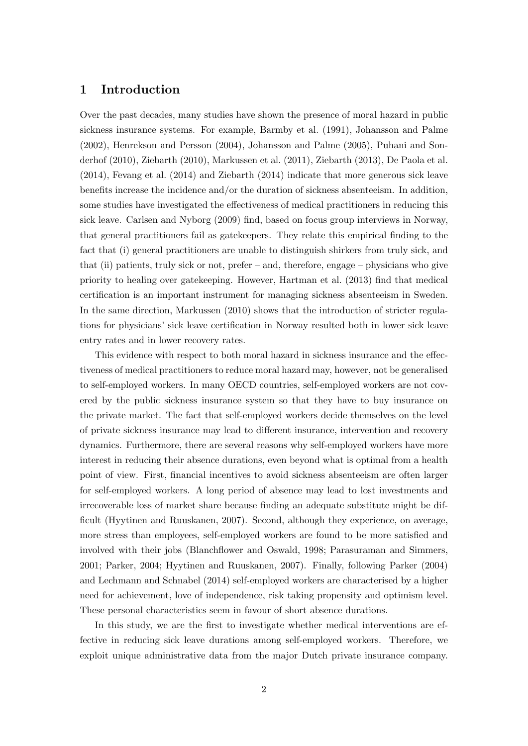## 1 Introduction

Over the past decades, many studies have shown the presence of moral hazard in public sickness insurance systems. For example, Barmby et al. (1991), Johansson and Palme (2002), Henrekson and Persson (2004), Johansson and Palme (2005), Puhani and Sonderhof (2010), Ziebarth (2010), Markussen et al. (2011), Ziebarth (2013), De Paola et al. (2014), Fevang et al. (2014) and Ziebarth (2014) indicate that more generous sick leave benefits increase the incidence and/or the duration of sickness absenteeism. In addition, some studies have investigated the effectiveness of medical practitioners in reducing this sick leave. Carlsen and Nyborg (2009) find, based on focus group interviews in Norway, that general practitioners fail as gatekeepers. They relate this empirical finding to the fact that (i) general practitioners are unable to distinguish shirkers from truly sick, and that (ii) patients, truly sick or not, prefer – and, therefore, engage – physicians who give priority to healing over gatekeeping. However, Hartman et al. (2013) find that medical certification is an important instrument for managing sickness absenteeism in Sweden. In the same direction, Markussen (2010) shows that the introduction of stricter regulations for physicians' sick leave certification in Norway resulted both in lower sick leave entry rates and in lower recovery rates.

This evidence with respect to both moral hazard in sickness insurance and the effectiveness of medical practitioners to reduce moral hazard may, however, not be generalised to self-employed workers. In many OECD countries, self-employed workers are not covered by the public sickness insurance system so that they have to buy insurance on the private market. The fact that self-employed workers decide themselves on the level of private sickness insurance may lead to different insurance, intervention and recovery dynamics. Furthermore, there are several reasons why self-employed workers have more interest in reducing their absence durations, even beyond what is optimal from a health point of view. First, financial incentives to avoid sickness absenteeism are often larger for self-employed workers. A long period of absence may lead to lost investments and irrecoverable loss of market share because finding an adequate substitute might be difficult (Hyytinen and Ruuskanen, 2007). Second, although they experience, on average, more stress than employees, self-employed workers are found to be more satisfied and involved with their jobs (Blanchflower and Oswald, 1998; Parasuraman and Simmers, 2001; Parker, 2004; Hyytinen and Ruuskanen, 2007). Finally, following Parker (2004) and Lechmann and Schnabel (2014) self-employed workers are characterised by a higher need for achievement, love of independence, risk taking propensity and optimism level. These personal characteristics seem in favour of short absence durations.

In this study, we are the first to investigate whether medical interventions are effective in reducing sick leave durations among self-employed workers. Therefore, we exploit unique administrative data from the major Dutch private insurance company.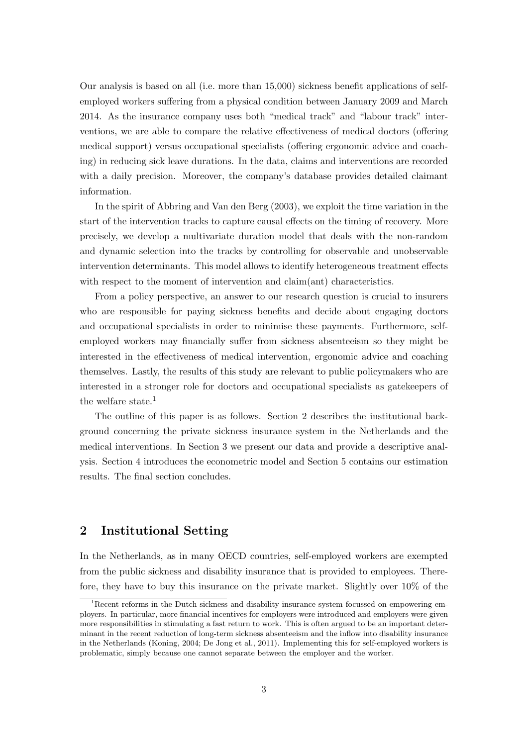Our analysis is based on all (i.e. more than 15,000) sickness benefit applications of selfemployed workers suffering from a physical condition between January 2009 and March 2014. As the insurance company uses both "medical track" and "labour track" interventions, we are able to compare the relative effectiveness of medical doctors (offering medical support) versus occupational specialists (offering ergonomic advice and coaching) in reducing sick leave durations. In the data, claims and interventions are recorded with a daily precision. Moreover, the company's database provides detailed claimant information.

In the spirit of Abbring and Van den Berg (2003), we exploit the time variation in the start of the intervention tracks to capture causal effects on the timing of recovery. More precisely, we develop a multivariate duration model that deals with the non-random and dynamic selection into the tracks by controlling for observable and unobservable intervention determinants. This model allows to identify heterogeneous treatment effects with respect to the moment of intervention and claim(ant) characteristics.

From a policy perspective, an answer to our research question is crucial to insurers who are responsible for paying sickness benefits and decide about engaging doctors and occupational specialists in order to minimise these payments. Furthermore, selfemployed workers may financially suffer from sickness absenteeism so they might be interested in the effectiveness of medical intervention, ergonomic advice and coaching themselves. Lastly, the results of this study are relevant to public policymakers who are interested in a stronger role for doctors and occupational specialists as gatekeepers of the welfare state.<sup>1</sup>

The outline of this paper is as follows. Section 2 describes the institutional background concerning the private sickness insurance system in the Netherlands and the medical interventions. In Section 3 we present our data and provide a descriptive analysis. Section 4 introduces the econometric model and Section 5 contains our estimation results. The final section concludes.

# 2 Institutional Setting

In the Netherlands, as in many OECD countries, self-employed workers are exempted from the public sickness and disability insurance that is provided to employees. Therefore, they have to buy this insurance on the private market. Slightly over 10% of the

<sup>&</sup>lt;sup>1</sup>Recent reforms in the Dutch sickness and disability insurance system focussed on empowering employers. In particular, more financial incentives for employers were introduced and employers were given more responsibilities in stimulating a fast return to work. This is often argued to be an important determinant in the recent reduction of long-term sickness absenteeism and the inflow into disability insurance in the Netherlands (Koning, 2004; De Jong et al., 2011). Implementing this for self-employed workers is problematic, simply because one cannot separate between the employer and the worker.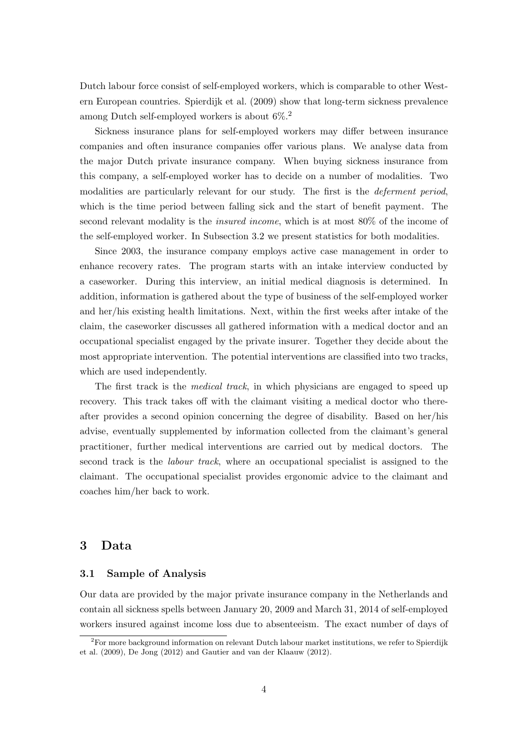Dutch labour force consist of self-employed workers, which is comparable to other Western European countries. Spierdijk et al. (2009) show that long-term sickness prevalence among Dutch self-employed workers is about  $6\%$ <sup>2</sup>

Sickness insurance plans for self-employed workers may differ between insurance companies and often insurance companies offer various plans. We analyse data from the major Dutch private insurance company. When buying sickness insurance from this company, a self-employed worker has to decide on a number of modalities. Two modalities are particularly relevant for our study. The first is the deferment period, which is the time period between falling sick and the start of benefit payment. The second relevant modality is the insured income, which is at most 80% of the income of the self-employed worker. In Subsection 3.2 we present statistics for both modalities.

Since 2003, the insurance company employs active case management in order to enhance recovery rates. The program starts with an intake interview conducted by a caseworker. During this interview, an initial medical diagnosis is determined. In addition, information is gathered about the type of business of the self-employed worker and her/his existing health limitations. Next, within the first weeks after intake of the claim, the caseworker discusses all gathered information with a medical doctor and an occupational specialist engaged by the private insurer. Together they decide about the most appropriate intervention. The potential interventions are classified into two tracks, which are used independently.

The first track is the *medical track*, in which physicians are engaged to speed up recovery. This track takes off with the claimant visiting a medical doctor who thereafter provides a second opinion concerning the degree of disability. Based on her/his advise, eventually supplemented by information collected from the claimant's general practitioner, further medical interventions are carried out by medical doctors. The second track is the labour track, where an occupational specialist is assigned to the claimant. The occupational specialist provides ergonomic advice to the claimant and coaches him/her back to work.

### 3 Data

#### 3.1 Sample of Analysis

Our data are provided by the major private insurance company in the Netherlands and contain all sickness spells between January 20, 2009 and March 31, 2014 of self-employed workers insured against income loss due to absenteeism. The exact number of days of

 ${}^{2}$ For more background information on relevant Dutch labour market institutions, we refer to Spierdijk et al. (2009), De Jong (2012) and Gautier and van der Klaauw (2012).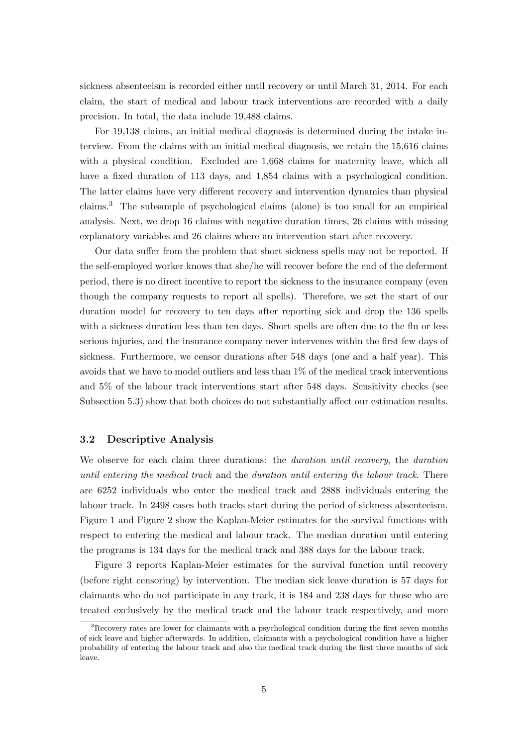sickness absenteeism is recorded either until recovery or until March 31, 2014. For each claim, the start of medical and labour track interventions are recorded with a daily precision. In total, the data include 19,488 claims.

For 19,138 claims, an initial medical diagnosis is determined during the intake interview. From the claims with an initial medical diagnosis, we retain the 15,616 claims with a physical condition. Excluded are  $1,668$  claims for maternity leave, which all have a fixed duration of 113 days, and 1,854 claims with a psychological condition. The latter claims have very different recovery and intervention dynamics than physical claims.<sup>3</sup> The subsample of psychological claims (alone) is too small for an empirical analysis. Next, we drop 16 claims with negative duration times, 26 claims with missing explanatory variables and 26 claims where an intervention start after recovery.

Our data suffer from the problem that short sickness spells may not be reported. If the self-employed worker knows that she/he will recover before the end of the deferment period, there is no direct incentive to report the sickness to the insurance company (even though the company requests to report all spells). Therefore, we set the start of our duration model for recovery to ten days after reporting sick and drop the 136 spells with a sickness duration less than ten days. Short spells are often due to the flu or less serious injuries, and the insurance company never intervenes within the first few days of sickness. Furthermore, we censor durations after 548 days (one and a half year). This avoids that we have to model outliers and less than 1% of the medical track interventions and 5% of the labour track interventions start after 548 days. Sensitivity checks (see Subsection 5.3) show that both choices do not substantially affect our estimation results.

#### 3.2 Descriptive Analysis

We observe for each claim three durations: the *duration until recovery*, the *duration* until entering the medical track and the duration until entering the labour track. There are 6252 individuals who enter the medical track and 2888 individuals entering the labour track. In 2498 cases both tracks start during the period of sickness absenteeism. Figure 1 and Figure 2 show the Kaplan-Meier estimates for the survival functions with respect to entering the medical and labour track. The median duration until entering the programs is 134 days for the medical track and 388 days for the labour track.

Figure 3 reports Kaplan-Meier estimates for the survival function until recovery (before right censoring) by intervention. The median sick leave duration is 57 days for claimants who do not participate in any track, it is 184 and 238 days for those who are treated exclusively by the medical track and the labour track respectively, and more

<sup>&</sup>lt;sup>3</sup>Recovery rates are lower for claimants with a psychological condition during the first seven months of sick leave and higher afterwards. In addition, claimants with a psychological condition have a higher probability of entering the labour track and also the medical track during the first three months of sick leave.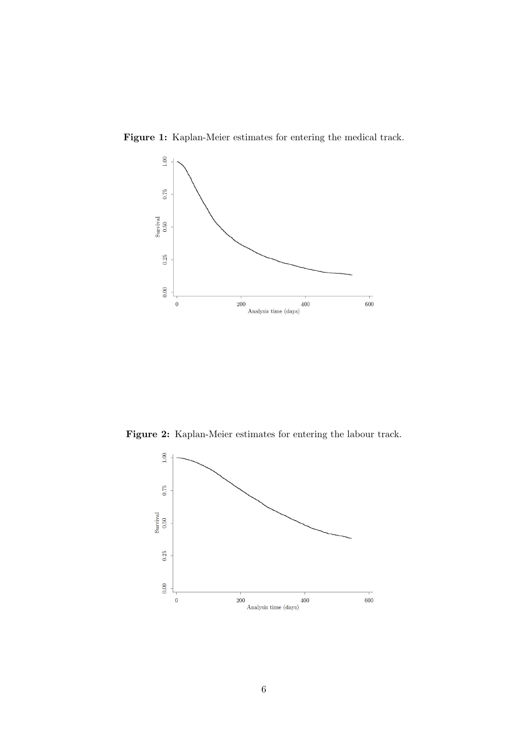

Figure 1: Kaplan-Meier estimates for entering the medical track.

Figure 2: Kaplan-Meier estimates for entering the labour track.

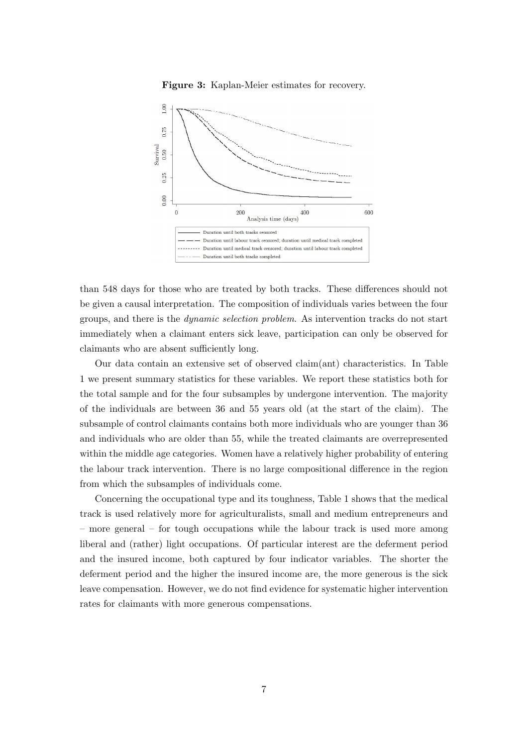



than 548 days for those who are treated by both tracks. These differences should not be given a causal interpretation. The composition of individuals varies between the four groups, and there is the dynamic selection problem. As intervention tracks do not start immediately when a claimant enters sick leave, participation can only be observed for claimants who are absent sufficiently long.

Our data contain an extensive set of observed claim(ant) characteristics. In Table 1 we present summary statistics for these variables. We report these statistics both for the total sample and for the four subsamples by undergone intervention. The majority of the individuals are between 36 and 55 years old (at the start of the claim). The subsample of control claimants contains both more individuals who are younger than 36 and individuals who are older than 55, while the treated claimants are overrepresented within the middle age categories. Women have a relatively higher probability of entering the labour track intervention. There is no large compositional difference in the region from which the subsamples of individuals come.

Concerning the occupational type and its toughness, Table 1 shows that the medical track is used relatively more for agriculturalists, small and medium entrepreneurs and – more general – for tough occupations while the labour track is used more among liberal and (rather) light occupations. Of particular interest are the deferment period and the insured income, both captured by four indicator variables. The shorter the deferment period and the higher the insured income are, the more generous is the sick leave compensation. However, we do not find evidence for systematic higher intervention rates for claimants with more generous compensations.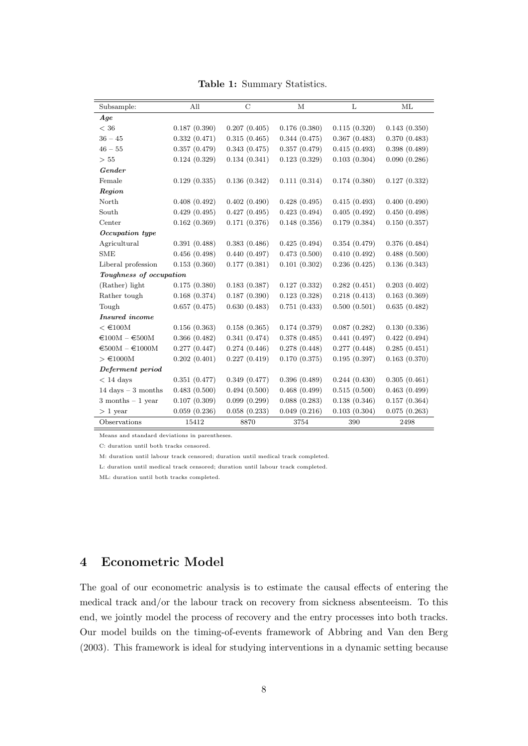Table 1: Summary Statistics.

| Subsample:                        | All          | $\rm C$      | М            | L            | ML           |
|-----------------------------------|--------------|--------------|--------------|--------------|--------------|
| Age                               |              |              |              |              |              |
| $<$ 36                            | 0.187(0.390) | 0.207(0.405) | 0.176(0.380) | 0.115(0.320) | 0.143(0.350) |
| $36 - 45$                         | 0.332(0.471) | 0.315(0.465) | 0.344(0.475) | 0.367(0.483) | 0.370(0.483) |
| $46 - 55$                         | 0.357(0.479) | 0.343(0.475) | 0.357(0.479) | 0.415(0.493) | 0.398(0.489) |
| > 55                              | 0.124(0.329) | 0.134(0.341) | 0.123(0.329) | 0.103(0.304) | 0.090(0.286) |
| Gender                            |              |              |              |              |              |
| Female                            | 0.129(0.335) | 0.136(0.342) | 0.111(0.314) | 0.174(0.380) | 0.127(0.332) |
| Region                            |              |              |              |              |              |
| North                             | 0.408(0.492) | 0.402(0.490) | 0.428(0.495) | 0.415(0.493) | 0.400(0.490) |
| South                             | 0.429(0.495) | 0.427(0.495) | 0.423(0.494) | 0.405(0.492) | 0.450(0.498) |
| Center                            | 0.162(0.369) | 0.171(0.376) | 0.148(0.356) | 0.179(0.384) | 0.150(0.357) |
| Occupation type                   |              |              |              |              |              |
| Agricultural                      | 0.391(0.488) | 0.383(0.486) | 0.425(0.494) | 0.354(0.479) | 0.376(0.484) |
| <b>SME</b>                        | 0.456(0.498) | 0.440(0.497) | 0.473(0.500) | 0.410(0.492) | 0.488(0.500) |
| Liberal profession                | 0.153(0.360) | 0.177(0.381) | 0.101(0.302) | 0.236(0.425) | 0.136(0.343) |
| Toughness of occupation           |              |              |              |              |              |
| (Rather) light                    | 0.175(0.380) | 0.183(0.387) | 0.127(0.332) | 0.282(0.451) | 0.203(0.402) |
| Rather tough                      | 0.168(0.374) | 0.187(0.390) | 0.123(0.328) | 0.218(0.413) | 0.163(0.369) |
| Tough                             | 0.657(0.475) | 0.630(0.483) | 0.751(0.433) | 0.500(0.501) | 0.635(0.482) |
| <b>Insured</b> income             |              |              |              |              |              |
| $<$ €100M                         | 0.156(0.363) | 0.158(0.365) | 0.174(0.379) | 0.087(0.282) | 0.130(0.336) |
| $\epsilon$ 100M - $\epsilon$ 500M | 0.366(0.482) | 0.341(0.474) | 0.378(0.485) | 0.441(0.497) | 0.422(0.494) |
| $€500M - €1000M$                  | 0.277(0.447) | 0.274(0.446) | 0.278(0.448) | 0.277(0.448) | 0.285(0.451) |
| $> \text{\textsterling}1000M$     | 0.202(0.401) | 0.227(0.419) | 0.170(0.375) | 0.195(0.397) | 0.163(0.370) |
| Deferment period                  |              |              |              |              |              |
| $< 14$ days                       | 0.351(0.477) | 0.349(0.477) | 0.396(0.489) | 0.244(0.430) | 0.305(0.461) |
| 14 days $-3$ months               | 0.483(0.500) | 0.494(0.500) | 0.468(0.499) | 0.515(0.500) | 0.463(0.499) |
| $3$ months $-1$ year              | 0.107(0.309) | 0.099(0.299) | 0.088(0.283) | 0.138(0.346) | 0.157(0.364) |
| $>1$ year                         | 0.059(0.236) | 0.058(0.233) | 0.049(0.216) | 0.103(0.304) | 0.075(0.263) |
| Observations                      | 15412        | 8870         | 3754         | 390          | 2498         |

Means and standard deviations in parentheses.

C: duration until both tracks censored.

M: duration until labour track censored; duration until medical track completed.

L: duration until medical track censored; duration until labour track completed.

ML: duration until both tracks completed.

# 4 Econometric Model

The goal of our econometric analysis is to estimate the causal effects of entering the medical track and/or the labour track on recovery from sickness absenteeism. To this end, we jointly model the process of recovery and the entry processes into both tracks. Our model builds on the timing-of-events framework of Abbring and Van den Berg (2003). This framework is ideal for studying interventions in a dynamic setting because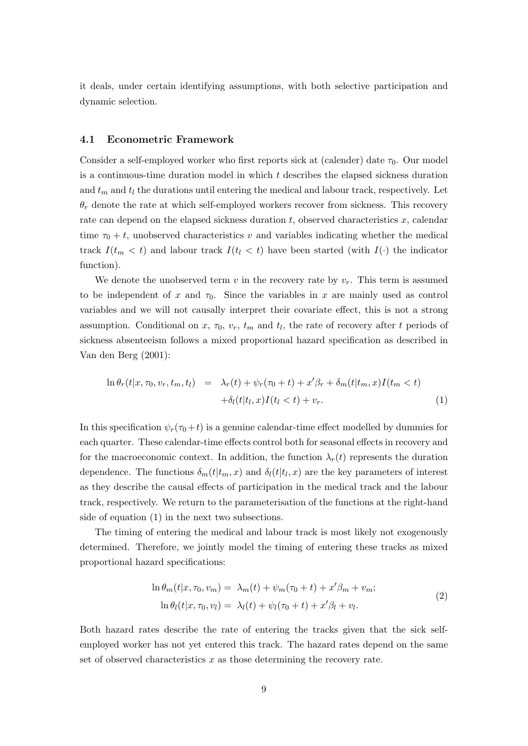it deals, under certain identifying assumptions, with both selective participation and dynamic selection.

#### 4.1 Econometric Framework

Consider a self-employed worker who first reports sick at (calender) date  $\tau_0$ . Our model is a continuous-time duration model in which  $t$  describes the elapsed sickness duration and  $t_m$  and  $t_l$  the durations until entering the medical and labour track, respectively. Let  $\theta_r$  denote the rate at which self-employed workers recover from sickness. This recovery rate can depend on the elapsed sickness duration  $t$ , observed characteristics  $x$ , calendar time  $\tau_0 + t$ , unobserved characteristics v and variables indicating whether the medical track  $I(t_m < t)$  and labour track  $I(t_l < t)$  have been started (with  $I(\cdot)$ ) the indicator function).

We denote the unobserved term v in the recovery rate by  $v_r$ . This term is assumed to be independent of x and  $\tau_0$ . Since the variables in x are mainly used as control variables and we will not causally interpret their covariate effect, this is not a strong assumption. Conditional on  $x, \tau_0, v_r, t_m$  and  $t_l$ , the rate of recovery after t periods of sickness absenteeism follows a mixed proportional hazard specification as described in Van den Berg (2001):

$$
\ln \theta_r(t|x, \tau_0, v_r, t_m, t_l) = \lambda_r(t) + \psi_r(\tau_0 + t) + x'\beta_r + \delta_m(t|t_m, x)I(t_m < t) + \delta_l(t|t_l, x)I(t_l < t) + v_r.
$$
\n(1)

In this specification  $\psi_r(\tau_0+t)$  is a genuine calendar-time effect modelled by dummies for each quarter. These calendar-time effects control both for seasonal effects in recovery and for the macroeconomic context. In addition, the function  $\lambda_r(t)$  represents the duration dependence. The functions  $\delta_m(t|t_m, x)$  and  $\delta_l(t|t_l, x)$  are the key parameters of interest as they describe the causal effects of participation in the medical track and the labour track, respectively. We return to the parameterisation of the functions at the right-hand side of equation (1) in the next two subsections.

The timing of entering the medical and labour track is most likely not exogenously determined. Therefore, we jointly model the timing of entering these tracks as mixed proportional hazard specifications:

$$
\ln \theta_m(t|x, \tau_0, v_m) = \lambda_m(t) + \psi_m(\tau_0 + t) + x'\beta_m + v_m;
$$
  
\n
$$
\ln \theta_l(t|x, \tau_0, v_l) = \lambda_l(t) + \psi_l(\tau_0 + t) + x'\beta_l + v_l.
$$
\n(2)

Both hazard rates describe the rate of entering the tracks given that the sick selfemployed worker has not yet entered this track. The hazard rates depend on the same set of observed characteristics  $x$  as those determining the recovery rate.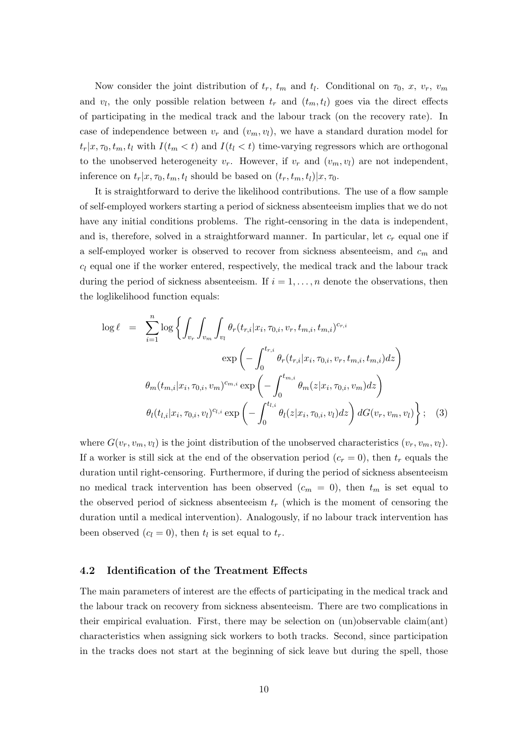Now consider the joint distribution of  $t_r$ ,  $t_m$  and  $t_l$ . Conditional on  $\tau_0$ , x,  $v_r$ ,  $v_m$ and  $v_l$ , the only possible relation between  $t_r$  and  $(t_m, t_l)$  goes via the direct effects of participating in the medical track and the labour track (on the recovery rate). In case of independence between  $v_r$  and  $(v_m, v_l)$ , we have a standard duration model for  $t_r|x, \tau_0, t_m, t_l$  with  $I(t_m < t)$  and  $I(t_l < t)$  time-varying regressors which are orthogonal to the unobserved heterogeneity  $v_r$ . However, if  $v_r$  and  $(v_m, v_l)$  are not independent, inference on  $t_r|x, \tau_0, t_m, t_l$  should be based on  $(t_r, t_m, t_l)|x, \tau_0$ .

It is straightforward to derive the likelihood contributions. The use of a flow sample of self-employed workers starting a period of sickness absenteeism implies that we do not have any initial conditions problems. The right-censoring in the data is independent, and is, therefore, solved in a straightforward manner. In particular, let  $c_r$  equal one if a self-employed worker is observed to recover from sickness absenteeism, and  $c_m$  and  $c_l$  equal one if the worker entered, respectively, the medical track and the labour track during the period of sickness absenteeism. If  $i = 1, \ldots, n$  denote the observations, then the loglikelihood function equals:

$$
\log \ell = \sum_{i=1}^{n} \log \left\{ \int_{v_r} \int_{v_m} \int_{v_l} \theta_r(t_{r,i}|x_i, \tau_{0,i}, v_r, t_{m,i}, t_{m,i})^{c_{r,i}} \exp \left( - \int_0^{t_{r,i}} \theta_r(t_{r,i}|x_i, \tau_{0,i}, v_r, t_{m,i}, t_{m,i}) dz \right) \right\}
$$

$$
\theta_m(t_{m,i}|x_i, \tau_{0,i}, v_m)^{c_{m,i}} \exp \left( - \int_0^{t_{m,i}} \theta_m(z|x_i, \tau_{0,i}, v_m) dz \right)
$$

$$
\theta_l(t_{l,i}|x_i, \tau_{0,i}, v_l)^{c_{l,i}} \exp \left( - \int_0^{t_{l,i}} \theta_l(z|x_i, \tau_{0,i}, v_l) dz \right) dG(v_r, v_m, v_l) \right\}; \quad (3)
$$

where  $G(v_r, v_m, v_l)$  is the joint distribution of the unobserved characteristics  $(v_r, v_m, v_l)$ . If a worker is still sick at the end of the observation period  $(c_r = 0)$ , then  $t_r$  equals the duration until right-censoring. Furthermore, if during the period of sickness absenteeism no medical track intervention has been observed  $(c_m = 0)$ , then  $t_m$  is set equal to the observed period of sickness absenteeism  $t_r$  (which is the moment of censoring the duration until a medical intervention). Analogously, if no labour track intervention has been observed  $(c_l = 0)$ , then  $t_l$  is set equal to  $t_r$ .

#### 4.2 Identification of the Treatment Effects

The main parameters of interest are the effects of participating in the medical track and the labour track on recovery from sickness absenteeism. There are two complications in their empirical evaluation. First, there may be selection on (un)observable claim(ant) characteristics when assigning sick workers to both tracks. Second, since participation in the tracks does not start at the beginning of sick leave but during the spell, those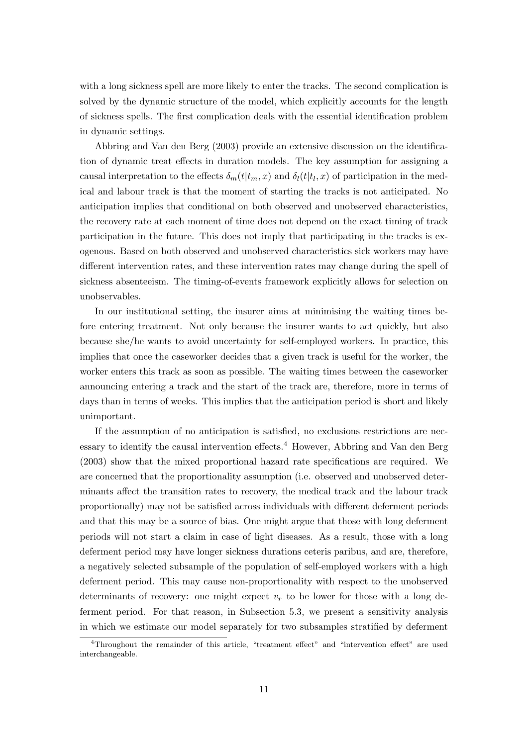with a long sickness spell are more likely to enter the tracks. The second complication is solved by the dynamic structure of the model, which explicitly accounts for the length of sickness spells. The first complication deals with the essential identification problem in dynamic settings.

Abbring and Van den Berg (2003) provide an extensive discussion on the identification of dynamic treat effects in duration models. The key assumption for assigning a causal interpretation to the effects  $\delta_m(t|t_m, x)$  and  $\delta_l(t|t_l, x)$  of participation in the medical and labour track is that the moment of starting the tracks is not anticipated. No anticipation implies that conditional on both observed and unobserved characteristics, the recovery rate at each moment of time does not depend on the exact timing of track participation in the future. This does not imply that participating in the tracks is exogenous. Based on both observed and unobserved characteristics sick workers may have different intervention rates, and these intervention rates may change during the spell of sickness absenteeism. The timing-of-events framework explicitly allows for selection on unobservables.

In our institutional setting, the insurer aims at minimising the waiting times before entering treatment. Not only because the insurer wants to act quickly, but also because she/he wants to avoid uncertainty for self-employed workers. In practice, this implies that once the caseworker decides that a given track is useful for the worker, the worker enters this track as soon as possible. The waiting times between the caseworker announcing entering a track and the start of the track are, therefore, more in terms of days than in terms of weeks. This implies that the anticipation period is short and likely unimportant.

If the assumption of no anticipation is satisfied, no exclusions restrictions are necessary to identify the causal intervention effects.<sup>4</sup> However, Abbring and Van den Berg (2003) show that the mixed proportional hazard rate specifications are required. We are concerned that the proportionality assumption (i.e. observed and unobserved determinants affect the transition rates to recovery, the medical track and the labour track proportionally) may not be satisfied across individuals with different deferment periods and that this may be a source of bias. One might argue that those with long deferment periods will not start a claim in case of light diseases. As a result, those with a long deferment period may have longer sickness durations ceteris paribus, and are, therefore, a negatively selected subsample of the population of self-employed workers with a high deferment period. This may cause non-proportionality with respect to the unobserved determinants of recovery: one might expect  $v_r$  to be lower for those with a long deferment period. For that reason, in Subsection 5.3, we present a sensitivity analysis in which we estimate our model separately for two subsamples stratified by deferment

<sup>4</sup>Throughout the remainder of this article, "treatment effect" and "intervention effect" are used interchangeable.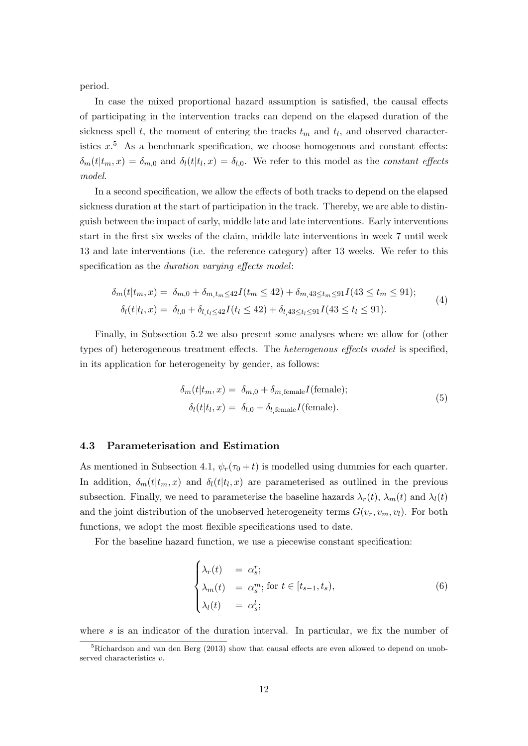period.

In case the mixed proportional hazard assumption is satisfied, the causal effects of participating in the intervention tracks can depend on the elapsed duration of the sickness spell t, the moment of entering the tracks  $t_m$  and  $t_l$ , and observed characteristics  $x$ <sup>5</sup>. As a benchmark specification, we choose homogenous and constant effects:  $\delta_m(t|t_m, x) = \delta_{m,0}$  and  $\delta_l(t|t_l, x) = \delta_{l,0}$ . We refer to this model as the *constant effects* model.

In a second specification, we allow the effects of both tracks to depend on the elapsed sickness duration at the start of participation in the track. Thereby, we are able to distinguish between the impact of early, middle late and late interventions. Early interventions start in the first six weeks of the claim, middle late interventions in week 7 until week 13 and late interventions (i.e. the reference category) after 13 weeks. We refer to this specification as the *duration varying effects model*:

$$
\delta_m(t|t_m, x) = \delta_{m,0} + \delta_{m,t_m \le 42} I(t_m \le 42) + \delta_{m,43 \le t_m \le 91} I(43 \le t_m \le 91);
$$
\n
$$
\delta_l(t|t_l, x) = \delta_{l,0} + \delta_{l,t_l \le 42} I(t_l \le 42) + \delta_{l,43 \le t_l \le 91} I(43 \le t_l \le 91).
$$
\n(4)

Finally, in Subsection 5.2 we also present some analyses where we allow for (other types of) heterogeneous treatment effects. The heterogenous effects model is specified, in its application for heterogeneity by gender, as follows:

$$
\delta_m(t|t_m, x) = \delta_{m,0} + \delta_{m,\text{female}} I(\text{female});
$$
  
\n
$$
\delta_l(t|t_l, x) = \delta_{l,0} + \delta_{l,\text{female}} I(\text{female}).
$$
\n(5)

#### 4.3 Parameterisation and Estimation

As mentioned in Subsection 4.1,  $\psi_r(\tau_0 + t)$  is modelled using dummies for each quarter. In addition,  $\delta_m(t|t_m, x)$  and  $\delta_l(t|t_l, x)$  are parameterised as outlined in the previous subsection. Finally, we need to parameterise the baseline hazards  $\lambda_r(t)$ ,  $\lambda_m(t)$  and  $\lambda_l(t)$ and the joint distribution of the unobserved heterogeneity terms  $G(v_r, v_m, v_l)$ . For both functions, we adopt the most flexible specifications used to date.

For the baseline hazard function, we use a piecewise constant specification:

$$
\begin{cases}\n\lambda_r(t) = \alpha_s^r; \\
\lambda_m(t) = \alpha_s^m; \text{ for } t \in [t_{s-1}, t_s), \\
\lambda_l(t) = \alpha_s^l;\n\end{cases}
$$
\n(6)

where  $s$  is an indicator of the duration interval. In particular, we fix the number of

 ${}^{5}$ Richardson and van den Berg (2013) show that causal effects are even allowed to depend on unobserved characteristics v.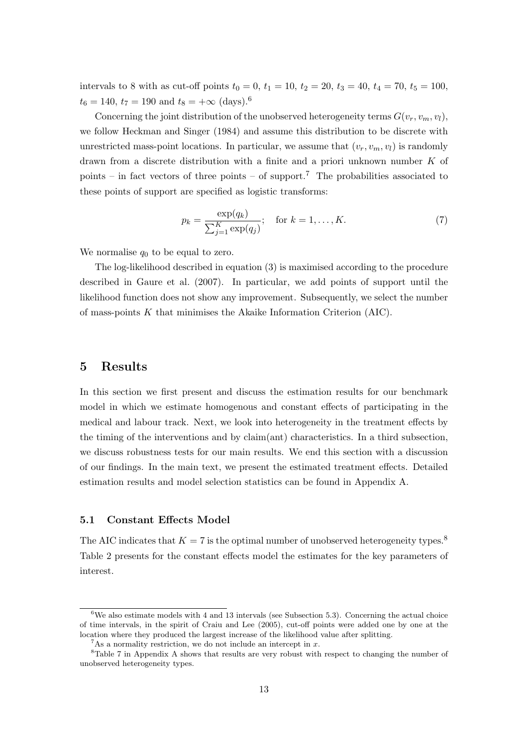intervals to 8 with as cut-off points  $t_0 = 0$ ,  $t_1 = 10$ ,  $t_2 = 20$ ,  $t_3 = 40$ ,  $t_4 = 70$ ,  $t_5 = 100$ ,  $t_6 = 140$ ,  $t_7 = 190$  and  $t_8 = +\infty$  (days).<sup>6</sup>

Concerning the joint distribution of the unobserved heterogeneity terms  $G(v_r, v_m, v_l)$ , we follow Heckman and Singer (1984) and assume this distribution to be discrete with unrestricted mass-point locations. In particular, we assume that  $(v_r, v_m, v_l)$  is randomly drawn from a discrete distribution with a finite and a priori unknown number  $K$  of points – in fact vectors of three points – of support.<sup>7</sup> The probabilities associated to these points of support are specified as logistic transforms:

$$
p_k = \frac{\exp(q_k)}{\sum_{j=1}^K \exp(q_j)}; \text{ for } k = 1, ..., K.
$$
 (7)

We normalise  $q_0$  to be equal to zero.

The log-likelihood described in equation (3) is maximised according to the procedure described in Gaure et al. (2007). In particular, we add points of support until the likelihood function does not show any improvement. Subsequently, we select the number of mass-points  $K$  that minimises the Akaike Information Criterion (AIC).

### 5 Results

In this section we first present and discuss the estimation results for our benchmark model in which we estimate homogenous and constant effects of participating in the medical and labour track. Next, we look into heterogeneity in the treatment effects by the timing of the interventions and by claim(ant) characteristics. In a third subsection, we discuss robustness tests for our main results. We end this section with a discussion of our findings. In the main text, we present the estimated treatment effects. Detailed estimation results and model selection statistics can be found in Appendix A.

#### 5.1 Constant Effects Model

The AIC indicates that  $K = 7$  is the optimal number of unobserved heterogeneity types.<sup>8</sup> Table 2 presents for the constant effects model the estimates for the key parameters of interest.

 $6$ We also estimate models with 4 and 13 intervals (see Subsection 5.3). Concerning the actual choice of time intervals, in the spirit of Craiu and Lee (2005), cut-off points were added one by one at the location where they produced the largest increase of the likelihood value after splitting.

 $7\text{As a normality restriction, we do not include an intercept in } x$ .

<sup>8</sup>Table 7 in Appendix A shows that results are very robust with respect to changing the number of unobserved heterogeneity types.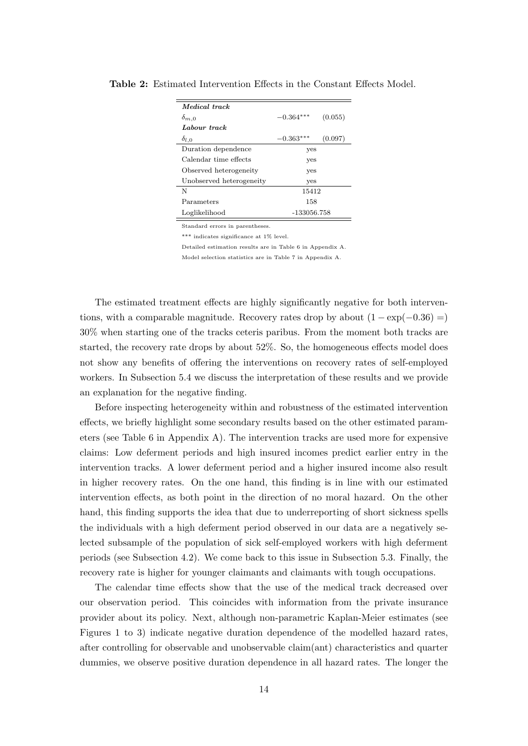| Medical track            |             |         |
|--------------------------|-------------|---------|
| $\delta_{m,0}$           | $-0.364***$ | (0.055) |
| Labour track             |             |         |
| $\delta_{l,0}$           | $-0.363*$   | (0.097) |
| Duration dependence      | yes         |         |
| Calendar time effects    | yes         |         |
| Observed heterogeneity   | yes         |         |
| Unobserved heterogeneity | yes         |         |
| N                        | 15412       |         |
| Parameters               | 158         |         |
| Loglikelihood            | -133056.758 |         |

Table 2: Estimated Intervention Effects in the Constant Effects Model.

Standard errors in parentheses.

\*\*\* indicates significance at 1% level.

Detailed estimation results are in Table 6 in Appendix A.

Model selection statistics are in Table 7 in Appendix A.

The estimated treatment effects are highly significantly negative for both interventions, with a comparable magnitude. Recovery rates drop by about  $(1 - \exp(-0.36) =)$ 30% when starting one of the tracks ceteris paribus. From the moment both tracks are started, the recovery rate drops by about 52%. So, the homogeneous effects model does not show any benefits of offering the interventions on recovery rates of self-employed workers. In Subsection 5.4 we discuss the interpretation of these results and we provide an explanation for the negative finding.

Before inspecting heterogeneity within and robustness of the estimated intervention effects, we briefly highlight some secondary results based on the other estimated parameters (see Table 6 in Appendix A). The intervention tracks are used more for expensive claims: Low deferment periods and high insured incomes predict earlier entry in the intervention tracks. A lower deferment period and a higher insured income also result in higher recovery rates. On the one hand, this finding is in line with our estimated intervention effects, as both point in the direction of no moral hazard. On the other hand, this finding supports the idea that due to underreporting of short sickness spells the individuals with a high deferment period observed in our data are a negatively selected subsample of the population of sick self-employed workers with high deferment periods (see Subsection 4.2). We come back to this issue in Subsection 5.3. Finally, the recovery rate is higher for younger claimants and claimants with tough occupations.

The calendar time effects show that the use of the medical track decreased over our observation period. This coincides with information from the private insurance provider about its policy. Next, although non-parametric Kaplan-Meier estimates (see Figures 1 to 3) indicate negative duration dependence of the modelled hazard rates, after controlling for observable and unobservable claim(ant) characteristics and quarter dummies, we observe positive duration dependence in all hazard rates. The longer the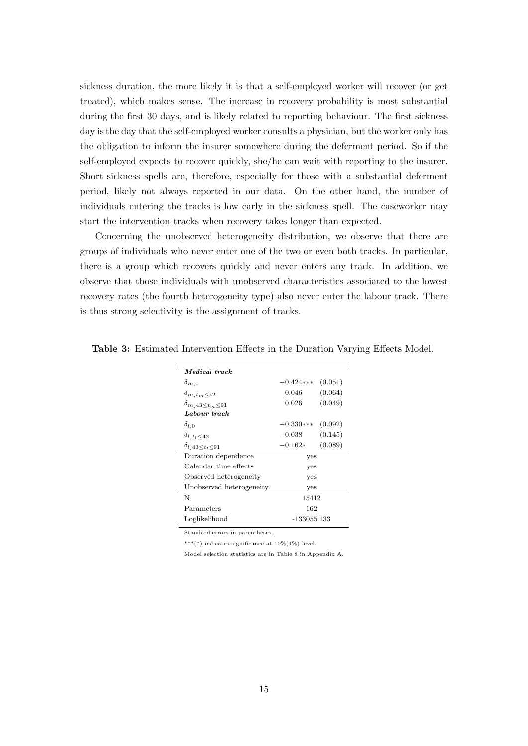sickness duration, the more likely it is that a self-employed worker will recover (or get treated), which makes sense. The increase in recovery probability is most substantial during the first 30 days, and is likely related to reporting behaviour. The first sickness day is the day that the self-employed worker consults a physician, but the worker only has the obligation to inform the insurer somewhere during the deferment period. So if the self-employed expects to recover quickly, she/he can wait with reporting to the insurer. Short sickness spells are, therefore, especially for those with a substantial deferment period, likely not always reported in our data. On the other hand, the number of individuals entering the tracks is low early in the sickness spell. The caseworker may start the intervention tracks when recovery takes longer than expected.

Concerning the unobserved heterogeneity distribution, we observe that there are groups of individuals who never enter one of the two or even both tracks. In particular, there is a group which recovers quickly and never enters any track. In addition, we observe that those individuals with unobserved characteristics associated to the lowest recovery rates (the fourth heterogeneity type) also never enter the labour track. There is thus strong selectivity is the assignment of tracks.

| <i>Medical track</i>             |             |         |
|----------------------------------|-------------|---------|
| $\delta_{m,0}$                   | $-0.424***$ | (0.051) |
| $\delta_{m, \, t_m \leq 42}$     | 0.046       | (0.064) |
| $\delta_{m,43 \leq t_m \leq 91}$ | 0.026       | (0.049) |
| Labour track                     |             |         |
| $\delta_{l,0}$                   | $-0.330***$ | (0.092) |
| $\delta_{l,t_l \leq 42}$         | $-0.038$    | (0.145) |
| $\delta_{l,43 \leq t_l \leq 91}$ | $-0.162*$   | (0.089) |
| Duration dependence              | yes         |         |
| Calendar time effects            | yes         |         |
| Observed heterogeneity           | yes         |         |
| Unobserved heterogeneity         | yes         |         |
| N                                | 15412       |         |
| Parameters                       | 162         |         |
| Loglikelihood                    | -133055.133 |         |

Table 3: Estimated Intervention Effects in the Duration Varying Effects Model.

Standard errors in parentheses.

 $^{***}(^*)$  indicates significance at  $10\% (1\%)$  level.

Model selection statistics are in Table 8 in Appendix A.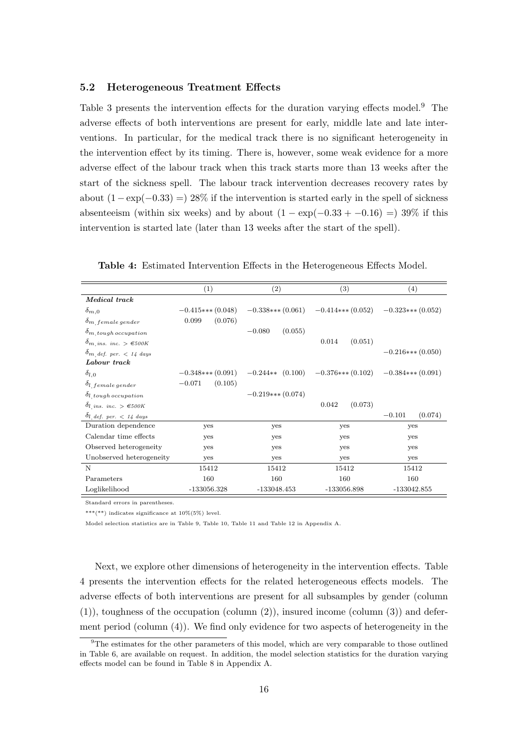#### 5.2 Heterogeneous Treatment Effects

Table 3 presents the intervention effects for the duration varying effects model.<sup>9</sup> The adverse effects of both interventions are present for early, middle late and late interventions. In particular, for the medical track there is no significant heterogeneity in the intervention effect by its timing. There is, however, some weak evidence for a more adverse effect of the labour track when this track starts more than 13 weeks after the start of the sickness spell. The labour track intervention decreases recovery rates by about  $(1 - \exp(-0.33)) = 28\%$  if the intervention is started early in the spell of sickness absenteeism (within six weeks) and by about  $(1 - \exp(-0.33 + -0.16)) = 39\%$  if this intervention is started late (later than 13 weeks after the start of the spell).

|                                                        | (1)                 | (2)                 | (3)                 | (4)                 |
|--------------------------------------------------------|---------------------|---------------------|---------------------|---------------------|
| Medical track                                          |                     |                     |                     |                     |
| $\delta_{m,0}$                                         | $-0.415***(0.048)$  | $-0.338***(0.061)$  | $-0.414***$ (0.052) | $-0.323***(0.052)$  |
| $\delta_{m}$ female gender                             | (0.076)<br>0.099    |                     |                     |                     |
| $\delta_{m, \text{tough occupation}}$                  |                     | (0.055)<br>$-0.080$ |                     |                     |
| $\delta_{m}$ ins. inc. $> \epsilon$ 500K               |                     |                     | 0.014<br>(0.051)    |                     |
| $\delta_{m, \text{ def. per.}} < 14 \text{ days}$      |                     |                     |                     | $-0.216***(0.050)$  |
| Labour track                                           |                     |                     |                     |                     |
| $\delta_{l,0}$                                         | $-0.348***$ (0.091) | $-0.244**$ (0.100)  | $-0.376***(0.102)$  | $-0.384***(0.091)$  |
| $\delta_{l, female gender}$                            | $-0.071$<br>(0.105) |                     |                     |                     |
| $\delta$ l <sub>, tough</sub> occupation               |                     | $-0.219***$ (0.074) |                     |                     |
| $\partial_{l \text{. ins. inc.}} \geq \epsilon_{500K}$ |                     |                     | (0.073)<br>0.042    |                     |
| $\delta_{l}$ def. per. < 14 days                       |                     |                     |                     | $-0.101$<br>(0.074) |
| Duration dependence                                    | yes                 | yes                 | yes                 | yes                 |
| Calendar time effects                                  | yes                 | yes                 | yes                 | yes                 |
| Observed heterogeneity                                 | <b>ves</b>          | yes                 | yes                 | yes                 |
| Unobserved heterogeneity                               | <b>ves</b>          | yes                 | yes                 | yes                 |
| N                                                      | 15412               | 15412               | 15412               | 15412               |
| Parameters                                             | 160                 | 160                 | 160                 | 160                 |
| Loglikelihood                                          | -133056.328         | $-133048.453$       | -133056.898         | $-133042.855$       |

Table 4: Estimated Intervention Effects in the Heterogeneous Effects Model.

Standard errors in parentheses.

\*\*\*(\*\*) indicates significance at  $10\%(5\%)$  level.

Model selection statistics are in Table 9, Table 10, Table 11 and Table 12 in Appendix A.

Next, we explore other dimensions of heterogeneity in the intervention effects. Table 4 presents the intervention effects for the related heterogeneous effects models. The adverse effects of both interventions are present for all subsamples by gender (column  $(1)$ , toughness of the occupation (column  $(2)$ ), insured income (column  $(3)$ ) and deferment period (column (4)). We find only evidence for two aspects of heterogeneity in the

<sup>9</sup>The estimates for the other parameters of this model, which are very comparable to those outlined in Table 6, are available on request. In addition, the model selection statistics for the duration varying effects model can be found in Table 8 in Appendix A.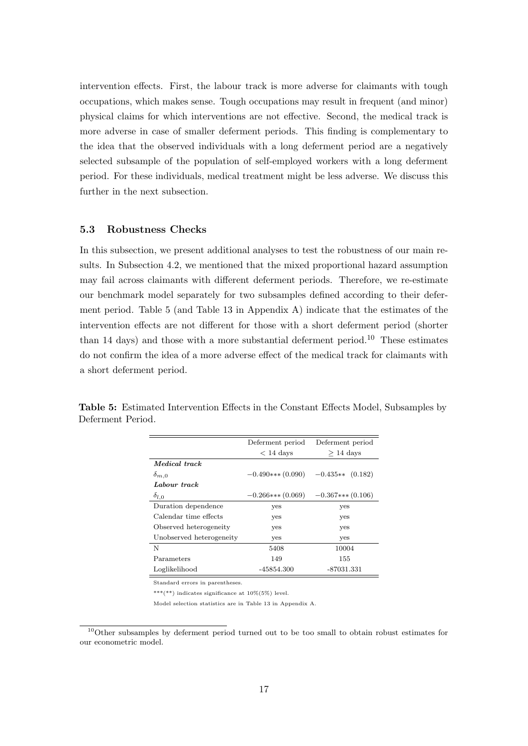intervention effects. First, the labour track is more adverse for claimants with tough occupations, which makes sense. Tough occupations may result in frequent (and minor) physical claims for which interventions are not effective. Second, the medical track is more adverse in case of smaller deferment periods. This finding is complementary to the idea that the observed individuals with a long deferment period are a negatively selected subsample of the population of self-employed workers with a long deferment period. For these individuals, medical treatment might be less adverse. We discuss this further in the next subsection.

#### 5.3 Robustness Checks

In this subsection, we present additional analyses to test the robustness of our main results. In Subsection 4.2, we mentioned that the mixed proportional hazard assumption may fail across claimants with different deferment periods. Therefore, we re-estimate our benchmark model separately for two subsamples defined according to their deferment period. Table 5 (and Table 13 in Appendix A) indicate that the estimates of the intervention effects are not different for those with a short deferment period (shorter than 14 days) and those with a more substantial deferment period.<sup>10</sup> These estimates do not confirm the idea of a more adverse effect of the medical track for claimants with a short deferment period.

|                          | Deferment period       | Deferment period   |
|--------------------------|------------------------|--------------------|
|                          | $< 14$ days            | $>$ 14 days        |
| <i>Medical track</i>     |                        |                    |
| $\delta_{m,0}$           | $-0.490$ *** $(0.090)$ | $-0.435**$ (0.182) |
| Labour track             |                        |                    |
| $\delta_{l,0}$           | $-0.266***(0.069)$     | $-0.367***(0.106)$ |
| Duration dependence      | yes                    | yes                |
| Calendar time effects    | yes                    | yes                |
| Observed heterogeneity   | yes                    | yes                |
| Unobserved heterogeneity | yes                    | yes                |
| N                        | 5408                   | 10004              |
| Parameters               | 149                    | 155                |
| Loglikelihood            | -45854.300             | -87031.331         |

Table 5: Estimated Intervention Effects in the Constant Effects Model, Subsamples by Deferment Period.

Standard errors in parentheses.

\*\*\*(\*\*) indicates significance at  $10\%(5\%)$  level.

Model selection statistics are in Table 13 in Appendix A.

<sup>&</sup>lt;sup>10</sup>Other subsamples by deferment period turned out to be too small to obtain robust estimates for our econometric model.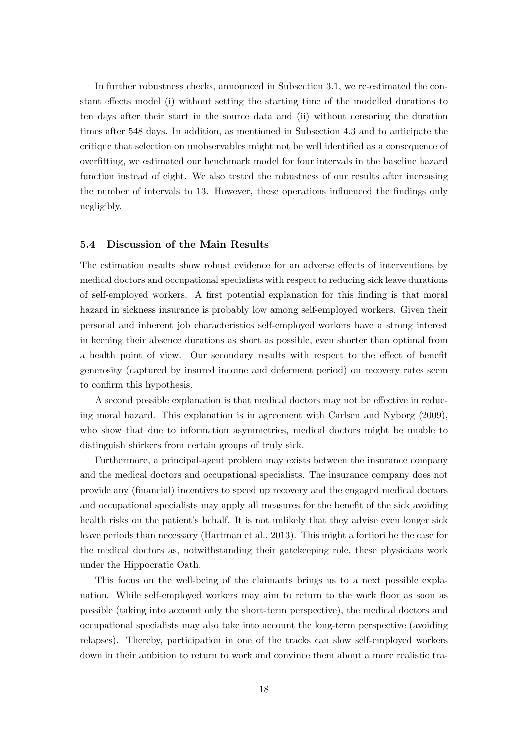In further robustness checks, announced in Subsection 3.1, we re-estimated the constant effects model (i) without setting the starting time of the modelled durations to ten days after their start in the source data and (ii) without censoring the duration times after 548 days. In addition, as mentioned in Subsection 4.3 and to anticipate the critique that selection on unobservables might not be well identified as a consequence of overfitting, we estimated our benchmark model for four intervals in the baseline hazard function instead of eight. We also tested the robustness of our results after increasing the number of intervals to 13. However, these operations influenced the findings only negligibly.

#### 5.4 Discussion of the Main Results

The estimation results show robust evidence for an adverse effects of interventions by medical doctors and occupational specialists with respect to reducing sick leave durations of self-employed workers. A first potential explanation for this finding is that moral hazard in sickness insurance is probably low among self-employed workers. Given their personal and inherent job characteristics self-employed workers have a strong interest in keeping their absence durations as short as possible, even shorter than optimal from a health point of view. Our secondary results with respect to the effect of benefit generosity (captured by insured income and deferment period) on recovery rates seem to confirm this hypothesis.

A second possible explanation is that medical doctors may not be effective in reducing moral hazard. This explanation is in agreement with Carlsen and Nyborg (2009), who show that due to information asymmetries, medical doctors might be unable to distinguish shirkers from certain groups of truly sick.

Furthermore, a principal-agent problem may exists between the insurance company and the medical doctors and occupational specialists. The insurance company does not provide any (financial) incentives to speed up recovery and the engaged medical doctors and occupational specialists may apply all measures for the benefit of the sick avoiding health risks on the patient's behalf. It is not unlikely that they advise even longer sick leave periods than necessary (Hartman et al., 2013). This might a fortiori be the case for the medical doctors as, notwithstanding their gatekeeping role, these physicians work under the Hippocratic Oath.

This focus on the well-being of the claimants brings us to a next possible explanation. While self-employed workers may aim to return to the work floor as soon as possible (taking into account only the short-term perspective), the medical doctors and occupational specialists may also take into account the long-term perspective (avoiding relapses). Thereby, participation in one of the tracks can slow self-employed workers down in their ambition to return to work and convince them about a more realistic tra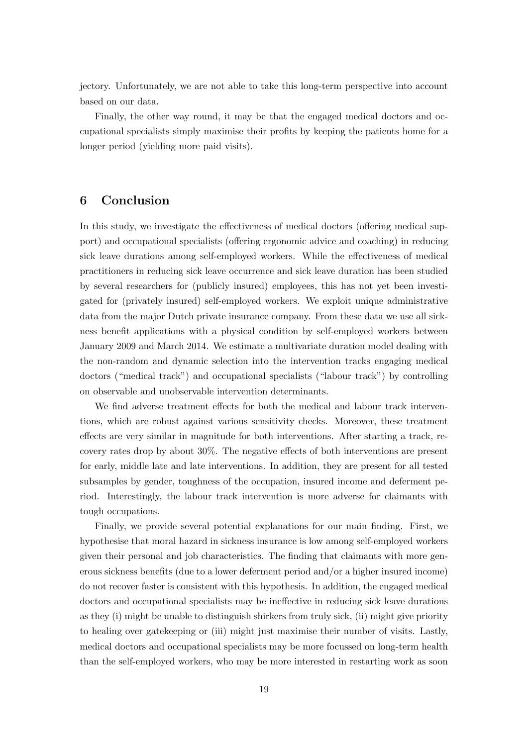jectory. Unfortunately, we are not able to take this long-term perspective into account based on our data.

Finally, the other way round, it may be that the engaged medical doctors and occupational specialists simply maximise their profits by keeping the patients home for a longer period (yielding more paid visits).

# 6 Conclusion

In this study, we investigate the effectiveness of medical doctors (offering medical support) and occupational specialists (offering ergonomic advice and coaching) in reducing sick leave durations among self-employed workers. While the effectiveness of medical practitioners in reducing sick leave occurrence and sick leave duration has been studied by several researchers for (publicly insured) employees, this has not yet been investigated for (privately insured) self-employed workers. We exploit unique administrative data from the major Dutch private insurance company. From these data we use all sickness benefit applications with a physical condition by self-employed workers between January 2009 and March 2014. We estimate a multivariate duration model dealing with the non-random and dynamic selection into the intervention tracks engaging medical doctors ("medical track") and occupational specialists ("labour track") by controlling on observable and unobservable intervention determinants.

We find adverse treatment effects for both the medical and labour track interventions, which are robust against various sensitivity checks. Moreover, these treatment effects are very similar in magnitude for both interventions. After starting a track, recovery rates drop by about 30%. The negative effects of both interventions are present for early, middle late and late interventions. In addition, they are present for all tested subsamples by gender, toughness of the occupation, insured income and deferment period. Interestingly, the labour track intervention is more adverse for claimants with tough occupations.

Finally, we provide several potential explanations for our main finding. First, we hypothesise that moral hazard in sickness insurance is low among self-employed workers given their personal and job characteristics. The finding that claimants with more generous sickness benefits (due to a lower deferment period and/or a higher insured income) do not recover faster is consistent with this hypothesis. In addition, the engaged medical doctors and occupational specialists may be ineffective in reducing sick leave durations as they (i) might be unable to distinguish shirkers from truly sick, (ii) might give priority to healing over gatekeeping or (iii) might just maximise their number of visits. Lastly, medical doctors and occupational specialists may be more focussed on long-term health than the self-employed workers, who may be more interested in restarting work as soon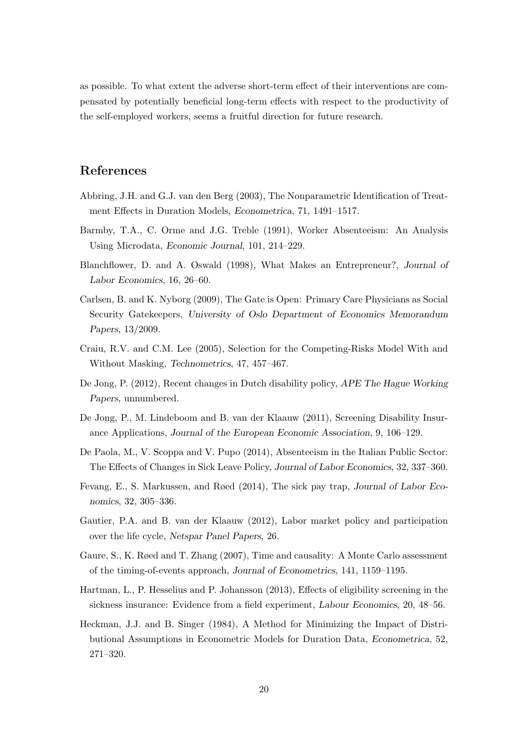as possible. To what extent the adverse short-term effect of their interventions are compensated by potentially beneficial long-term effects with respect to the productivity of the self-employed workers, seems a fruitful direction for future research.

# References

- Abbring, J.H. and G.J. van den Berg (2003), The Nonparametric Identification of Treatment Effects in Duration Models, Econometrica, 71, 1491–1517.
- Barmby, T.A., C. Orme and J.G. Treble (1991), Worker Absenteeism: An Analysis Using Microdata, Economic Journal, 101, 214–229.
- Blanchflower, D. and A. Oswald (1998), What Makes an Entrepreneur?, Journal of Labor Economics, 16, 26–60.
- Carlsen, B. and K. Nyborg (2009), The Gate is Open: Primary Care Physicians as Social Security Gatekeepers, University of Oslo Department of Economics Memorandum Papers, 13/2009.
- Craiu, R.V. and C.M. Lee (2005), Selection for the Competing-Risks Model With and Without Masking, Technometrics, 47, 457–467.
- De Jong, P. (2012), Recent changes in Dutch disability policy, APE The Hague Working Papers, unnumbered.
- De Jong, P., M. Lindeboom and B. van der Klaauw (2011), Screening Disability Insurance Applications, Journal of the European Economic Association, 9, 106–129.
- De Paola, M., V. Scoppa and V. Pupo (2014), Absenteeism in the Italian Public Sector: The Effects of Changes in Sick Leave Policy, Journal of Labor Economics, 32, 337–360.
- Fevang, E., S. Markussen, and Røed (2014), The sick pay trap, Journal of Labor Economics, 32, 305–336.
- Gautier, P.A. and B. van der Klaauw (2012), Labor market policy and participation over the life cycle, Netspar Panel Papers, 26.
- Gaure, S., K. Røed and T. Zhang (2007), Time and causality: A Monte Carlo assessment of the timing-of-events approach, Journal of Econometrics, 141, 1159–1195.
- Hartman, L., P. Hesselius and P. Johansson (2013), Effects of eligibility screening in the sickness insurance: Evidence from a field experiment, Labour Economics, 20, 48–56.
- Heckman, J.J. and B. Singer (1984), A Method for Minimizing the Impact of Distributional Assumptions in Econometric Models for Duration Data, Econometrica, 52, 271–320.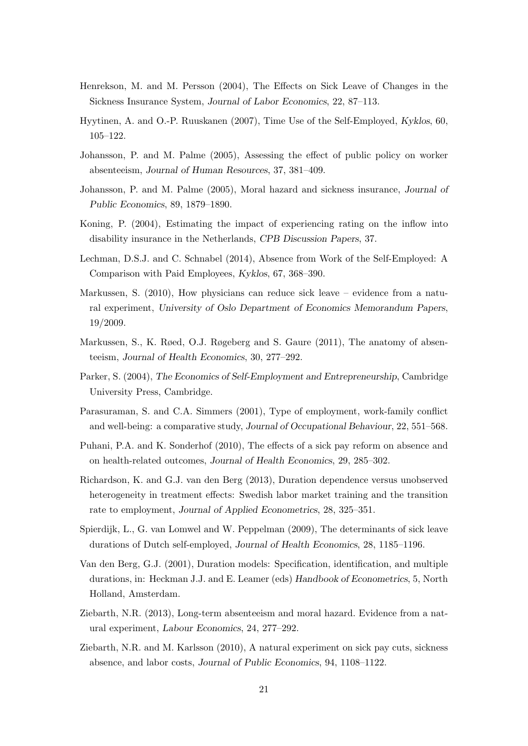- Henrekson, M. and M. Persson (2004), The Effects on Sick Leave of Changes in the Sickness Insurance System, Journal of Labor Economics, 22, 87–113.
- Hyytinen, A. and O.-P. Ruuskanen (2007), Time Use of the Self-Employed, Kyklos, 60, 105–122.
- Johansson, P. and M. Palme (2005), Assessing the effect of public policy on worker absenteeism, Journal of Human Resources, 37, 381–409.
- Johansson, P. and M. Palme (2005), Moral hazard and sickness insurance, Journal of Public Economics, 89, 1879–1890.
- Koning, P. (2004), Estimating the impact of experiencing rating on the inflow into disability insurance in the Netherlands, CPB Discussion Papers, 37.
- Lechman, D.S.J. and C. Schnabel (2014), Absence from Work of the Self-Employed: A Comparison with Paid Employees, Kyklos, 67, 368–390.
- Markussen, S. (2010), How physicians can reduce sick leave evidence from a natural experiment, University of Oslo Department of Economics Memorandum Papers, 19/2009.
- Markussen, S., K. Røed, O.J. Røgeberg and S. Gaure (2011), The anatomy of absenteeism, Journal of Health Economics, 30, 277–292.
- Parker, S. (2004), The Economics of Self-Employment and Entrepreneurship, Cambridge University Press, Cambridge.
- Parasuraman, S. and C.A. Simmers (2001), Type of employment, work-family conflict and well-being: a comparative study, Journal of Occupational Behaviour, 22, 551–568.
- Puhani, P.A. and K. Sonderhof (2010), The effects of a sick pay reform on absence and on health-related outcomes, Journal of Health Economics, 29, 285–302.
- Richardson, K. and G.J. van den Berg (2013), Duration dependence versus unobserved heterogeneity in treatment effects: Swedish labor market training and the transition rate to employment, Journal of Applied Econometrics, 28, 325–351.
- Spierdijk, L., G. van Lomwel and W. Peppelman (2009), The determinants of sick leave durations of Dutch self-employed, Journal of Health Economics, 28, 1185–1196.
- Van den Berg, G.J. (2001), Duration models: Specification, identification, and multiple durations, in: Heckman J.J. and E. Leamer (eds) Handbook of Econometrics, 5, North Holland, Amsterdam.
- Ziebarth, N.R. (2013), Long-term absenteeism and moral hazard. Evidence from a natural experiment, Labour Economics, 24, 277–292.
- Ziebarth, N.R. and M. Karlsson (2010), A natural experiment on sick pay cuts, sickness absence, and labor costs, Journal of Public Economics, 94, 1108–1122.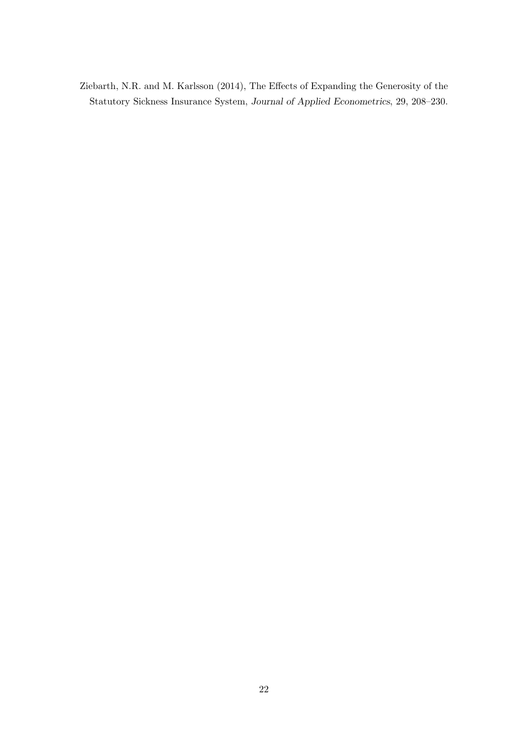Ziebarth, N.R. and M. Karlsson (2014), The Effects of Expanding the Generosity of the Statutory Sickness Insurance System, Journal of Applied Econometrics, 29, 208–230.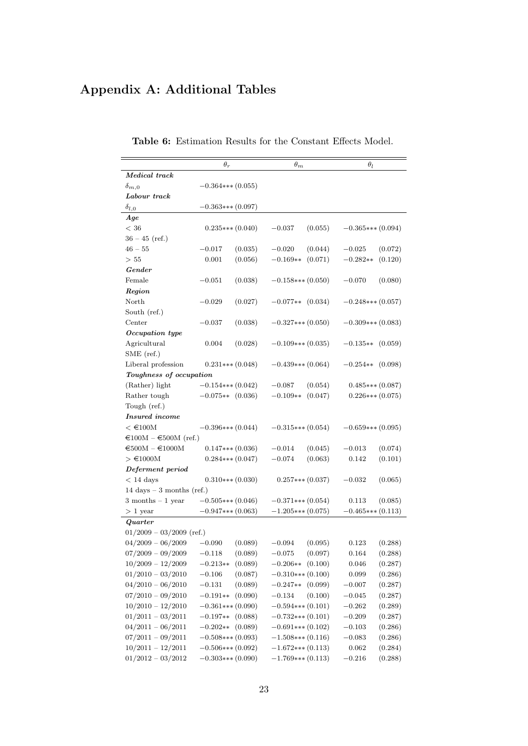# Appendix A: Additional Tables

|                                                              | $\theta_r$          |         | $\theta_m$          |         | $\theta_l$          |         |
|--------------------------------------------------------------|---------------------|---------|---------------------|---------|---------------------|---------|
| Medical track                                                |                     |         |                     |         |                     |         |
| $\delta_{m,0}$                                               | $-0.364***(0.055)$  |         |                     |         |                     |         |
| Labour track                                                 |                     |         |                     |         |                     |         |
| $\delta_{l,0}$                                               | $-0.363***(0.097)$  |         |                     |         |                     |         |
| Age                                                          |                     |         |                     |         |                     |         |
| < 36                                                         | $0.235***(0.040)$   |         | $-0.037$            | (0.055) | $-0.365***(0.094)$  |         |
| $36 - 45$ (ref.)                                             |                     |         |                     |         |                     |         |
| $46 - 55$                                                    | $-0.017$            | (0.035) | $-0.020$            | (0.044) | $-0.025$            | (0.072) |
| > 55                                                         | 0.001               | (0.056) | $-0.169**$          | (0.071) | $-0.282**$          | (0.120) |
| $\emph{Gender}$                                              |                     |         |                     |         |                     |         |
| Female                                                       | $-0.051$            | (0.038) | $-0.158***(0.050)$  |         | $-0.070$            | (0.080) |
| Region                                                       |                     |         |                     |         |                     |         |
| North                                                        | $-0.029$            | (0.027) | $-0.077**$          | (0.034) | $-0.248***$ (0.057) |         |
| South (ref.)                                                 |                     |         |                     |         |                     |         |
| Center                                                       | $-0.037$            | (0.038) | $-0.327***(0.050)$  |         | $-0.309***$ (0.083) |         |
| Occupation type                                              |                     |         |                     |         |                     |         |
| Agricultural                                                 | 0.004               | (0.028) | $-0.109***$ (0.035) |         | $-0.135**$ (0.059)  |         |
| SME (ref.)                                                   |                     |         |                     |         |                     |         |
| Liberal profession                                           | $0.231***(0.048)$   |         | $-0.439***$ (0.064) |         | $-0.254**$ (0.098)  |         |
| Toughness of occupation                                      |                     |         |                     |         |                     |         |
| (Rather) light                                               | $-0.154***(0.042)$  |         | $-0.087$            | (0.054) | $0.485***(0.087)$   |         |
| Rather tough                                                 | $-0.075**$ (0.036)  |         | $-0.109**$          | (0.047) | $0.226***(0.075)$   |         |
| Tough (ref.)                                                 |                     |         |                     |         |                     |         |
| <b>Insured</b> income                                        |                     |         |                     |         |                     |         |
| $< \text{€100M}$                                             | $-0.396***(0.044)$  |         | $-0.315***(0.054)$  |         | $-0.659***(0.095)$  |         |
| $\text{\textsterling}100M - \text{\textsterling}500M$ (ref.) |                     |         |                     |         |                     |         |
| $\epsilon$ 500M – $\epsilon$ 1000M                           | $0.147***(0.036)$   |         | $-0.014$            | (0.045) | $-0.013$            | (0.074) |
| $\geq \text{\textsterling}1000M$                             | $0.284***(0.047)$   |         | $-0.074$            | (0.063) | 0.142               | (0.101) |
| Deferment period                                             |                     |         |                     |         |                     |         |
| $< 14$ days                                                  | $0.310***(0.030)$   |         | $0.257***(0.037)$   |         | $-0.032$            | (0.065) |
| 14 days $-3$ months (ref.)                                   |                     |         |                     |         |                     |         |
| $3$ months $ 1$ year                                         | $-0.505***(0.046)$  |         | $-0.371***$ (0.054) |         | 0.113               | (0.085) |
| $>1$ year                                                    | $-0.947***(0.063)$  |         | $-1.205***(0.075)$  |         | $-0.465***(0.113)$  |         |
| Quarter                                                      |                     |         |                     |         |                     |         |
| $01/2009 - 03/2009$ (ref.)                                   |                     |         |                     |         |                     |         |
| $04/2009 - 06/2009$                                          | $-0.090$            | (0.089) | $-0.094$            | (0.095) | 0.123               | (0.288) |
| $07/2009 - 09/2009$                                          | $-0.118$            | (0.089) | $-0.075$            | (0.097) | 0.164               | (0.288) |
| $10/2009 - 12/2009$                                          | $-0.213**$          | (0.089) | $-0.206**$          | (0.100) | 0.046               | (0.287) |
| $01/2010 - 03/2010$                                          | $-0.106$            | (0.087) | $-0.310***(0.100)$  |         | 0.099               | (0.286) |
| $04/2010 - 06/2010$                                          | $-0.131$            | (0.089) | $-0.247**$          | (0.099) | $-0.007$            | (0.287) |
| $07/2010 - 09/2010$                                          | $-0.191**$          | (0.090) | $-0.134$            | (0.100) | $-0.045$            | (0.287) |
| $10/2010 - 12/2010$                                          | $-0.361***(0.090)$  |         | $-0.594***(0.101)$  |         | $-0.262$            | (0.289) |
| $01/2011 - 03/2011$                                          | $-0.197**$          | (0.088) | $-0.732***$ (0.101) |         | $-0.209$            | (0.287) |
| $04/2011 - 06/2011$                                          | $-0.202**$          | (0.089) | $-0.691***(0.102)$  |         | $-0.103$            | (0.286) |
| $07/2011 - 09/2011$                                          | $-0.508***$ (0.093) |         | $-1.508***$ (0.116) |         | $-0.083$            | (0.286) |
| $10/2011 - 12/2011$                                          | $-0.506***(0.092)$  |         | $-1.672***$ (0.113) |         | 0.062               | (0.284) |
| $01/2012 - 03/2012$                                          | $-0.303***(0.090)$  |         | $-1.769***$ (0.113) |         | $-0.216$            | (0.288) |

Table 6: Estimation Results for the Constant Effects Model.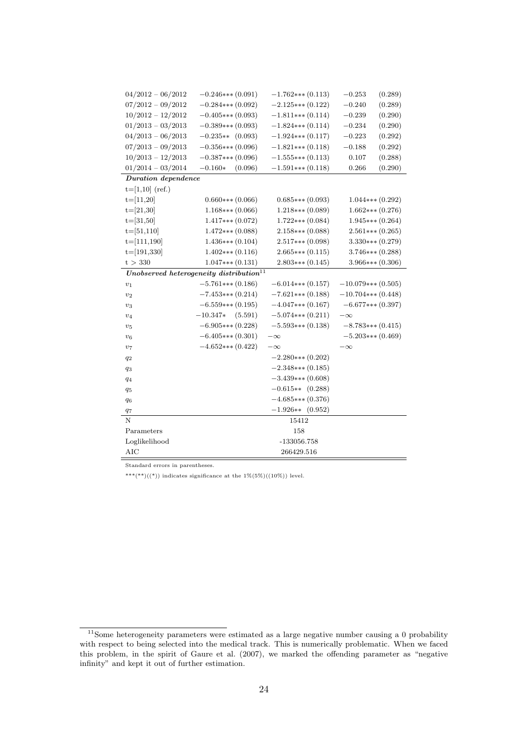| $04/2012 - 06/2012$ | $-0.246***(0.091)$                                              | $-1.762***(0.113)$  | (0.289)<br>$-0.253$  |
|---------------------|-----------------------------------------------------------------|---------------------|----------------------|
| $07/2012 - 09/2012$ | $-0.284***$ (0.092)                                             | $-2.125***$ (0.122) | $-0.240$<br>(0.289)  |
| $10/2012 - 12/2012$ | $-0.405***(0.093)$                                              | $-1.811***(0.114)$  | $-0.239$<br>(0.290)  |
| $01/2013 - 03/2013$ | $-0.389***(0.093)$                                              | $-1.824***(0.114)$  | $-0.234$<br>(0.290)  |
| $04/2013 - 06/2013$ | $-0.235**$ (0.093)                                              | $-1.924***$ (0.117) | $-0.223$<br>(0.292)  |
| $07/2013 - 09/2013$ | $-0.356***(0.096)$                                              | $-1.821***$ (0.118) | (0.292)<br>$-0.188$  |
| $10/2013 - 12/2013$ | $-0.387***(0.096)$                                              | $-1.555***(0.113)$  | (0.288)<br>0.107     |
| $01/2014 - 03/2014$ | $-0.160*$<br>(0.096)                                            | $-1.591***$ (0.118) | (0.290)<br>0.266     |
| Duration dependence |                                                                 |                     |                      |
| $t=[1,10]$ (ref.)   |                                                                 |                     |                      |
| $t=[11,20]$         | $0.660***(0.066)$                                               | $0.685***(0.093)$   | $1.044***(0.292)$    |
| $t=[21,30]$         | $1.168***(0.066)$                                               | $1.218***$ (0.089)  | $1.662***(0.276)$    |
| $t=[31,50]$         | $1.417***$ (0.072)                                              | $1.722***$ (0.084)  | $1.945***(0.264)$    |
| $t=[51,110]$        | $1.472***$ (0.088)                                              | $2.158***$ (0.088)  | $2.561***(0.265)$    |
| $t=[111,190]$       | $1.436***(0.104)$                                               | $2.517***$ (0.098)  | $3.330***(0.279)$    |
| $t=[191,330]$       | $1.402***(0.116)$                                               | $2.665***(0.115)$   | $3.746***$ (0.288)   |
| t > 330             | $1.047***(0.131)$                                               | $2.803***(0.145)$   | $3.966***(0.306)$    |
|                     | $\label{thm:unco} Unobserved\ heterogeneity\ distribution^{11}$ |                     |                      |
| $\boldsymbol{v}_1$  | $-5.761***$ (0.186)                                             | $-6.014***(0.157)$  | $-10.079***$ (0.505) |
| $\boldsymbol{v}_2$  | $-7.453***$ (0.214)                                             | $-7.621***$ (0.188) | $-10.704***$ (0.448) |
| $v_3$               | $-6.559***(0.195)$                                              | $-4.047***(0.167)$  | $-6.677***(0.397)$   |
| $v_4$               | $-10.347*$<br>(5.591)                                           | $-5.074***$ (0.211) | $-\infty$            |
| $v_5$               | $-6.905***(0.228)$                                              | $-5.593***(0.138)$  | $-8.783***(0.415)$   |
| $v_6$               | $-6.405***(0.301)$                                              | $-\infty$           | $-5.203***(0.469)$   |
| $\boldsymbol{v}_7$  | $-4.652***$ (0.422)                                             | $-\infty$           | $-\infty$            |
| $q_2$               |                                                                 | $-2.280***(0.202)$  |                      |
| $q_3$               |                                                                 | $-2.348***$ (0.185) |                      |
| $q_4$               |                                                                 | $-3.439***$ (0.608) |                      |
| $q_5$               |                                                                 | $-0.615**$ (0.288)  |                      |
| $q_6$               |                                                                 | $-4.685***(0.376)$  |                      |
| $q_7$               |                                                                 | $-1.926**$ (0.952)  |                      |
| N                   |                                                                 | 15412               |                      |
| Parameters          |                                                                 | 158                 |                      |
| Loglikelihood       |                                                                 | $-133056.758$       |                      |
| <b>AIC</b>          |                                                                 | 266429.516          |                      |

Standard errors in parentheses.

\*\*\*(\*\*)((\*)) indicates significance at the  $1\%$ (5%)((10%)) level.

 $11$ Some heterogeneity parameters were estimated as a large negative number causing a 0 probability with respect to being selected into the medical track. This is numerically problematic. When we faced this problem, in the spirit of Gaure et al. (2007), we marked the offending parameter as "negative infinity" and kept it out of further estimation.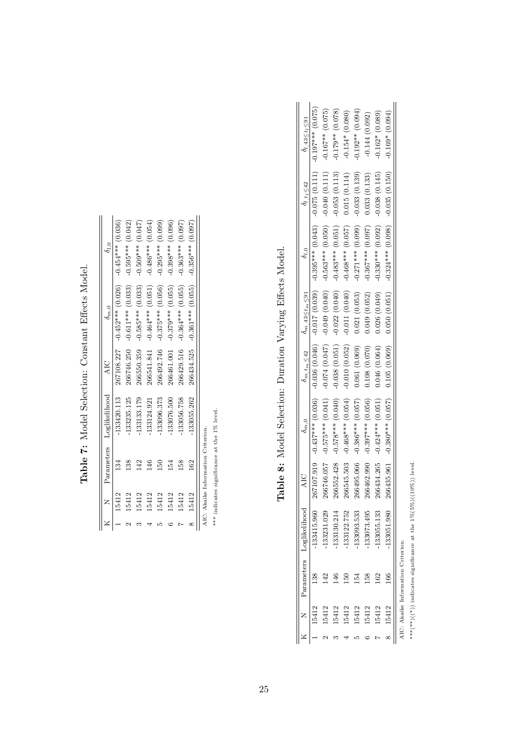|       |                | Parameters Loglikelihood | AIC        | $\delta_{m,0}$                  |                     |
|-------|----------------|--------------------------|------------|---------------------------------|---------------------|
| 5412  |                | 133420.113               |            | $267108.227 - 0.452***$ (0.026) | $-0.454***$ (0.036) |
| 5412  | 38             | $-133235.125$            | 266746.250 | $-0.611***$ (0.033)             | $-0.595***$ (0.042) |
| 15412 |                | 133133.179               | 266550.359 | $-0.585***$ (0.033)             | $-0.509***$ (0.047) |
| 15412 | $\frac{6}{4}$  | $-133124.921$            | 266541.841 | $-0.464***$ (0.051)             | $-0.486***$ (0.054) |
| 15412 | $\frac{50}{2}$ | 133096.373               | 266492.746 | $-0.375***$ (0.056)             | $-0.295***$ (0.099) |
| 15412 | 12             | 133076.500               | 266461.001 | $-0.379***$ (0.055)             | $-0.398***$ (0.096) |
| 15412 | 58             | 133056.758               | 266429.516 | $-0.364***$ (0.055)             | $-0.363***$ (0.097) |
| 15412 | 162            | 133055.262               |            | $266434.525 - 0.361***$ (0.055) | $-0.356***$ (0.097) |

Table 7: Model Selection: Constant Effects Model. Table 7: Model Selection: Constant Effects Model.

AIC: Akaike Information Criterion.  $\ast\ast\ast$  indicates significance at the  $1\%$  level. AIC: Akaike Information Criterion.

\*\*\* indicates significance at the 1% level.

Table 8: Model Selection: Duration Varying Effects Model. Table 8: Model Selection: Duration Varying Effects Model.

|       |                                    | Parameters Loglikelihood |            | $\delta_{m,0}$                   |                 | $\delta_{m, t_m} \leq 42$ $\delta_{m, 43} \leq t_m \leq 91$ | $\delta_{l,0}$                                        | $o_{l, t_l \leq 42}$ | $o_{l,43 \leq t_{l} \leq 91}$ |
|-------|------------------------------------|--------------------------|------------|----------------------------------|-----------------|-------------------------------------------------------------|-------------------------------------------------------|----------------------|-------------------------------|
|       |                                    | 133415.960               |            | $267107.919$ $-0.437***$ (0.036) |                 |                                                             | $-0.036$ (0.046) $-0.017$ (0.039) $-0.395***$ (0.043) | $-0.075(0.111)$      | $-0.197***$ (0.075)           |
|       |                                    | 133231.029               | 266746.057 | $-0.575***$ (0.041)              | $-0.074(0.047)$ |                                                             | $-0.049(0.040) -0.563***$ (0.050)                     | $-0.040(0.111)$      | $-0.167**$ (0.075)            |
|       |                                    | 133130.214               | 266552.428 | $-0.578***$ (0.040)              | $-0.038(0.051)$ | $-0.022(0.040)$                                             | $-0.483***$ (0.051)                                   | $-0.053(0.113)$      | $-0.179**$ (0.078)            |
| 15412 |                                    | 133122.752               | 266545.503 | $-0.468***$ (0.054)              | $-0.010(0.052)$ | $-0.011(0.040)$                                             | $-0.468***$ (0.057)                                   | 0.015(0.114)         | $-0.154*(0.080)$              |
|       |                                    | 133093.533               | 266495.066 | $-0.386***$ (0.057)              | 0.061(0.069)    | 0.021(0.053)                                                | $-0.271***$ (0.099)                                   | $-0.033(0.139)$      | $-0.192**$ (0.094)            |
| 5412  | 38                                 | 133073.495               | 266462.990 | $-0.397***$ (0.056)              | 0.108(0.070)    | 0.049(0.052)                                                | $-0.367***$ (0.097)                                   | 0.033(0.133)         | $-0.144(0.092)$               |
| 5412  | 62                                 | 133055.133               | 266434.265 | $-0.424***$ (0.051)              | 0.046(0.064)    | 0.026(0.049)                                                | $-0.330***$ (0.092)                                   | $-0.038(0.145)$      | $-0.162*(0.089)$              |
|       | Š                                  | 133051.980               | 266435.961 | $-0.380***$ (0.057)              |                 | $0.105(0.069)$ $0.050(0.051)$                               | $-0.324***$ (0.098)                                   | $-0.035(0.150)$      | $-0.169*(0.094)$              |
|       | AIC: Akaike Information Criterion. |                          |            |                                  |                 |                                                             |                                                       |                      |                               |

\*\*\*(\*\*)) indicates significance at the  $1\%$ (5%)((10%)) level. \*\*\*(\*\*)((\*)) indicates significance at the  $1\%$ (5%)((10%)) level.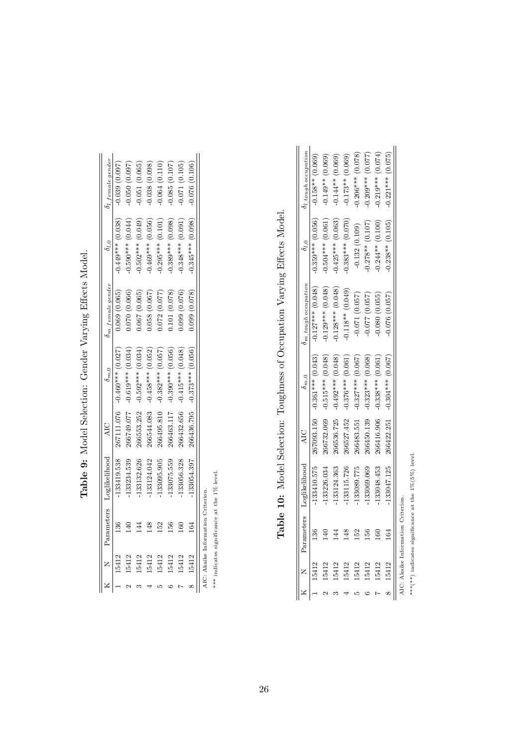|       |    | Parameters Loglikelihood |            | $\delta_{m,0}$                   | $\delta m$ . female gender |                     | $b_l$ female gender |
|-------|----|--------------------------|------------|----------------------------------|----------------------------|---------------------|---------------------|
|       |    | 133419.538               |            | $267111.076$ -0.460*** $(0.027)$ | 0.069(0.065)               | $0.449***$ (0.038)  | 0.039(0.097)        |
|       |    | 133234.539               | 266749.077 | $-0.619***$ (0.034)              | 0.070 (0.066)              | $0.590***$ (0.044)  | 0.050(0.097)        |
| 5412  |    | 133132.626               | 166553.252 | $-0.592***$ (0.034)              | 0.067(0.065)               | $0.502***$ (0.049)  | 0.051(0.065)        |
| 15412 |    | $-133124.042$            | 266544.083 | $-0.458***$ (0.052)              | 0.058(0.067)               | $-0.469***$ (0.056) | 0.038(0.098)        |
| 5412  | ŗ, | 133095.905               | 266495.810 | $-0.382***$ (0.057)              | 0.072(0.077)               | $0.295***$ (0.101)  | 0.064(0.110)        |
| 5412  |    | 133075.559               | 266463.117 | $-0.390***$ (0.056)              | (0.078)                    | $0.389***$ (0.098)  | 0.085(0.107)        |
| 5412  |    | 133056.328               | 266432.656 | $-0.415***$ (0.048)              | 0.099(0.076)               | $0.348***$ (0.091)  | 1.071 (0.105)       |
| 5412  |    | 133054.397               | 266436.795 | $-0.373***$ (0.056)              | $(870.0)$ 660.             | $0.345***$ (0.098)  | 0.076 (0.106)       |

Table 9: Model Selection: Gender Varying Effects Model. Table 9: Model Selection: Gender Varying Effects Model.

AIC: Akaike Information Criterion.<br>\*\*\* indicates significance at the  $1\%$  level.

\*\*\* indicates significance at the 1% level.

| ו<br>נ<br>$\overline{a}$<br>;<br>;<br>;                                                                                           |
|-----------------------------------------------------------------------------------------------------------------------------------|
| š,                                                                                                                                |
| 3.144<br>)<br>$\frac{1}{2}$                                                                                                       |
| At a framework of the Merrine Merrine Merrine Merrine Merrine Merrine Merrine Merrine Merrine Me<br>$\overline{ }$<br>ļ<br>l<br>١ |
| ;<br>;<br>- הורה המפפ                                                                                                             |
| )<br>I<br>١                                                                                                                       |
| ֧ׅ֧ׅ֧֧֧֧֧֧ׅ֧֛֧֧ׅ֧֛֛֪֛֧֧֛֪֛֖֛֧֛֛֛֛֪֛֛֛֚֚֚֚֚֚֚֚֚֚֚֚֚֚֚֚֚֚֚֚֡֜֜֓֝֬֝֟֓֝֟֓֝֬֝֬֜֓֟֓֝֬֜֓֜֝֬֜֝֬֝֬֜<br>ו<br>ו<br>j                         |
| Table 10: Model S                                                                                                                 |
|                                                                                                                                   |
|                                                                                                                                   |

|       |               | Parameters Loglikelihood |            | $\delta_{m,0}$                 | $m$ , tough occupation | $o_{l,0}$           | $o_{l, tough occupation}$ |
|-------|---------------|--------------------------|------------|--------------------------------|------------------------|---------------------|---------------------------|
| 5412  | X             | $-133410.575$            |            | $267093.150 -0.361***$ (0.043) | $-0.127***$ (0.048)    | $-0.359***$ (0.056) | $-0.158**$ (0.069)        |
| 5412  |               | $-133226.034$            | 266732.069 | $-0.515***$ (0.048)            | $-0.129***$ (0.048)    | $-0.504***$ (0.061) | $-0.149**$ (0.069)        |
| 5412  |               | -133124.363              | 266536.725 | $-0.492***$ (0.048)            | $-0.128***$ (0.048)    | $0.425***$ (0.063)  | $-0.144**$ (0.069)        |
| 5412  | $\frac{8}{3}$ | 133115.726               | 266527.452 | $-0.376***$ (0.061)            | $-0.118**$ (0.049)     | $0.383***$ (0.070)  | $-0.173**$ (0.069)        |
| 5412  | 5             | -133089.775              | 266483.551 | $-0.327***$ (0.067)            | $-0.071(0.057)$        | $-0.132(0.109)$     | $-0.206***$ (0.078)       |
| .5412 | 36            | -133069.069              | 266450.139 | $-0.323***$ (0.068)            | 0.077 (0.057)          | $0.278**$ (0.107)   | $-0.209***$ (0.077)       |
| 5412  |               | 133048.453               | 266416.906 | $-0.338***$ (0.061             | 0.080(0.055)           | $0.244**$ (0.100)   | $-0.219***$ (0.074)       |
| 5412  | $\mathbb{Z}$  | $-133047.125$            | 266422.251 | $-0.304***$ (0.067)            | 0.076(0.057)           | $0.238**$ (0.105)   | $-0.221***$ $(0.075)$     |

\*\*\*\*\*) indicates significance at the  $1\%(5\%)$  level. \*\*\*(\*\*) indicates significance at the 1%(5%) level.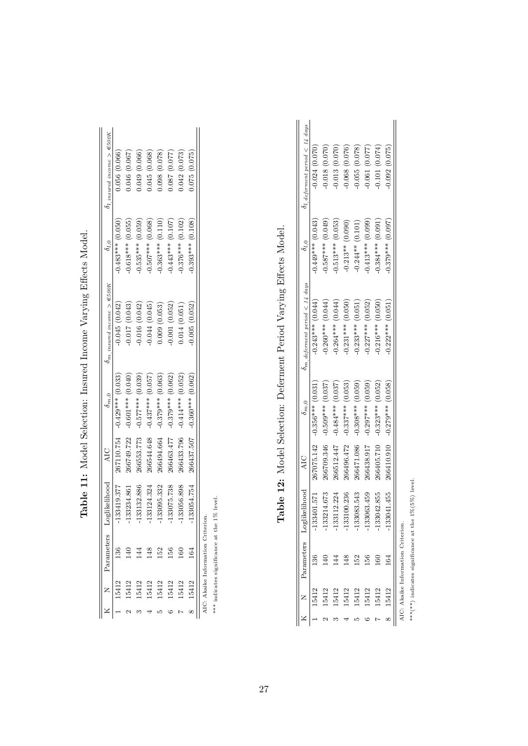|      | Parameters                         | oglikelihood AIC |            | $\delta_{m,0}$                  | $\delta$ m, insured income > $\epsilon$ 500K | $\delta_{l.0}$        | $\partial$ l, insured income > $\in$ 500K |
|------|------------------------------------|------------------|------------|---------------------------------|----------------------------------------------|-----------------------|-------------------------------------------|
|      |                                    | 133419.377       |            | $267110.754 - 0.429***$ (0.033) | $-0.045(0.042)$                              | $-0.483***$ (0.050)   | 0.056(0.066)                              |
|      |                                    | $-133234.861$    | 266749.722 | $-0.601***$ (0.040)             | 0.017(0.043)                                 | $-0.618***$ (0.055)   | 0.046 (0.067)                             |
|      |                                    | $-133132.886$    |            | $266553.773 - 0.577***$ (0.039) | 0.016(0.042)                                 | $-0.535***(0.059)$    | 0.049 (0.066)                             |
| 5412 |                                    | $-133124.324$    | 266544.648 | $-0.437***$ (0.057)             | 0.044(0.045)                                 | $-0.507***(0.068)$    | 0.045(0.068)                              |
|      |                                    | $-133095.332$    | 266494.664 | $-0.379***$ (0.063)             | 0.009(0.053)                                 | $-0.363***$ $(0.110)$ | 0.098(0.078)                              |
|      | ř,                                 | $-133075.738$    | 266463.477 | $-0.379***$ (0.062)             | 0.001(0.052)                                 | $-0.443***$ (0.107)   | 0.087 (0.077)                             |
|      | š                                  | 133056.898       | 266433.796 | $-0.414***$ (0.052)             | 0.014(0.051)                                 | $-0.376***$ (0.102)   | 0.042(0.073)                              |
|      |                                    | $-133054.754$    |            | $266437.507 - 0.360***$ (0.062) | 0.005(0.052)                                 | $0.393***$ (0.108)    | 0.075(0.075)                              |
|      | AIC: Alcailce Information Criterio |                  |            |                                 |                                              |                       |                                           |

Table 11: Model Selection: Insured Income Varying Effects Model. Table 11: Model Selection: Insured Income Varying Effects Model.

\*\*\* indicates significance at the 1% level. AIC: Akaike Information Criterion.

\*\*\* indicates significance at the 1% level.

Table 12: Model Selection: Deferment Period Varying Effects Model. Table 12: Model Selection: Deferment Period Varying Effects Model.

|  | Parameters                         | ikelihood | <b>AIC</b> | $\delta_{m,0}$                   | $\delta m$ , deferment period $< 14$ days | $\delta_{l,0}$      | $\partial$ l, deferment period $\langle$ 14 days |
|--|------------------------------------|-----------|------------|----------------------------------|-------------------------------------------|---------------------|--------------------------------------------------|
|  |                                    | 3401.571  |            | $267075.142 - 0.356***$ (0.031)  | $-0.243***$ $(0.044)$                     | $-0.449***$ (0.043) | 0.024(0.070)                                     |
|  |                                    | 3214.673  |            | $266709.346$ -0.509*** $(0.037)$ | $-0.260***$ (0.044)                       | $0.587***$ (0.049)  | (0.070, 0.070)                                   |
|  |                                    | 3112.224  | 266512.447 | $-0.484***$ (0.037)              | $-0.264***$ (0.044)                       | $0.513***$ (0.053)  | 0.013(0.070)                                     |
|  |                                    | 3100.236  | 266496.472 | $-0.337***$ (0.053)              | $0.231***$ $(0.050)$                      | $-0.213**$ (0.090)  | 0.068(0.076)                                     |
|  |                                    | 3083.543  |            | $266471.086$ -0.308*** (0.059)   | $-0.233***$ (0.051)                       | $-0.244**$ (0.101)  | 0.055(0.078)                                     |
|  |                                    | 3063.459  | 266438.917 | $-0.297***$ (0.059)              | $0.227***$ (0.052)                        | $0.413***$ (0.099)  | 0.061(0.077)                                     |
|  | ಠ                                  | 3042.855  | 266405.710 | $-0.323***$ (0.052)              | $0.216***$ (0.050)                        | $0.384***$ (0.091)  | 0.101(0.074)                                     |
|  | <u>ट्य</u>                         | 3041.455  | 266410.910 | $-0.279***$ (0.058)              | $0.222***$ (0.051)                        | $0.379***$ (0.097)  | 0.092(0.075)                                     |
|  | AIC: Akaike Information Criterion. |           |            |                                  |                                           |                     |                                                  |

\*\*\*(\*\*\*) indicates significance at the  $1\%$ (5%) level. \*\*\*(\*\*) indicates significance at the 1%(5%) level.